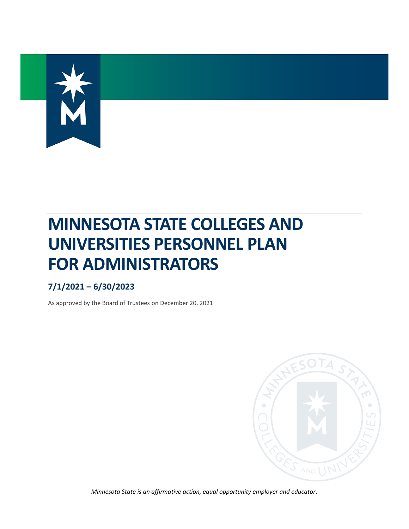

# **MINNESOTA STATE COLLEGES AND UNIVERSITIES PERSONNEL PLAN FOR ADMINISTRATORS**

## **7/1/2021 – 6/30/2023**

As approved by the Board of Trustees on December 20, 2021



*Minnesota State is an affirmative action, equal opportunity employer and educator.*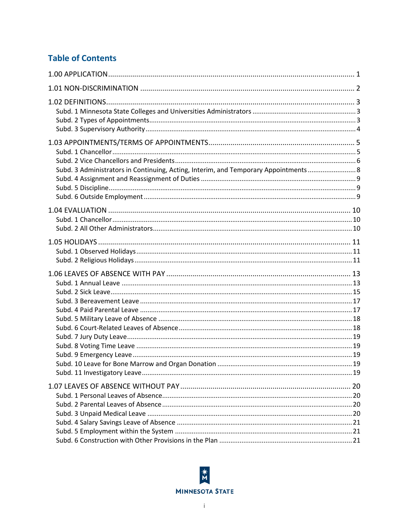## **Table of Contents**

| Subd. 3 Administrators in Continuing, Acting, Interim, and Temporary Appointments 8 |  |
|-------------------------------------------------------------------------------------|--|
|                                                                                     |  |
|                                                                                     |  |
|                                                                                     |  |
|                                                                                     |  |

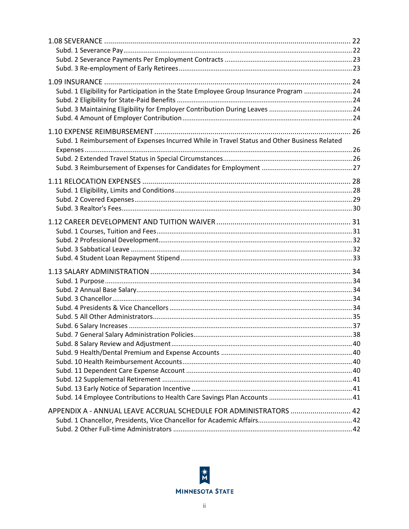| Subd. 1 Eligibility for Participation in the State Employee Group Insurance Program 24       |  |
|----------------------------------------------------------------------------------------------|--|
|                                                                                              |  |
|                                                                                              |  |
|                                                                                              |  |
|                                                                                              |  |
| Subd. 1 Reimbursement of Expenses Incurred While in Travel Status and Other Business Related |  |
|                                                                                              |  |
|                                                                                              |  |
|                                                                                              |  |
|                                                                                              |  |
|                                                                                              |  |
|                                                                                              |  |
|                                                                                              |  |
|                                                                                              |  |
|                                                                                              |  |
|                                                                                              |  |
|                                                                                              |  |
|                                                                                              |  |
|                                                                                              |  |
|                                                                                              |  |
|                                                                                              |  |
|                                                                                              |  |
|                                                                                              |  |
|                                                                                              |  |
|                                                                                              |  |
|                                                                                              |  |
|                                                                                              |  |
|                                                                                              |  |
|                                                                                              |  |
|                                                                                              |  |
|                                                                                              |  |
|                                                                                              |  |
|                                                                                              |  |
|                                                                                              |  |
| APPENDIX A - ANNUAL LEAVE ACCRUAL SCHEDULE FOR ADMINISTRATORS  42                            |  |
|                                                                                              |  |
|                                                                                              |  |

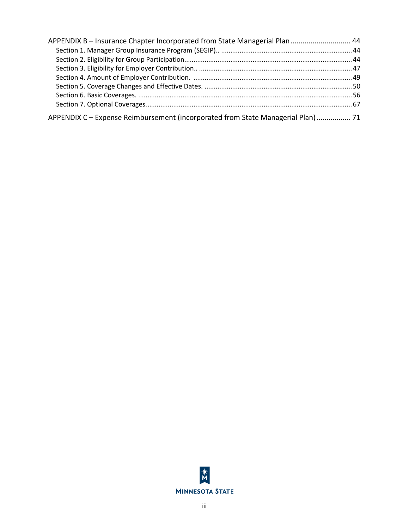| APPENDIX B - Insurance Chapter Incorporated from State Managerial Plan 44       |  |
|---------------------------------------------------------------------------------|--|
|                                                                                 |  |
|                                                                                 |  |
|                                                                                 |  |
|                                                                                 |  |
|                                                                                 |  |
|                                                                                 |  |
|                                                                                 |  |
| APPENDIX C - Expense Reimbursement (incorporated from State Managerial Plan) 71 |  |

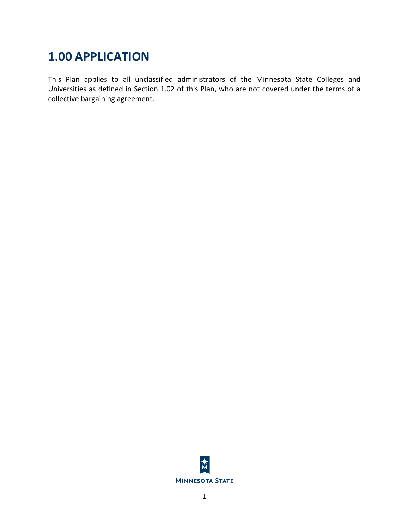## <span id="page-4-0"></span>**1.00 APPLICATION**

This Plan applies to all unclassified administrators of the Minnesota State Colleges and Universities as defined in Section 1.02 of this Plan, who are not covered under the terms of a collective bargaining agreement.

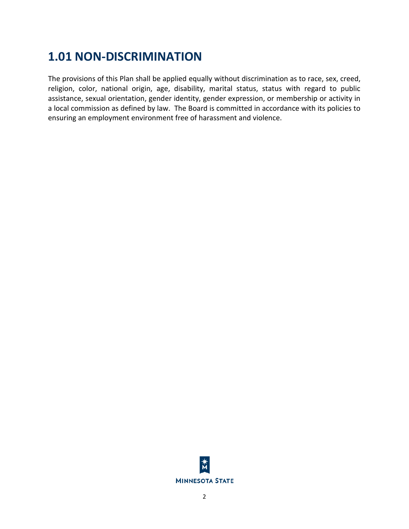## <span id="page-5-0"></span>**1.01 NON-DISCRIMINATION**

The provisions of this Plan shall be applied equally without discrimination as to race, sex, creed, religion, color, national origin, age, disability, marital status, status with regard to public assistance, sexual orientation, gender identity, gender expression, or membership or activity in a local commission as defined by law. The Board is committed in accordance with its policies to ensuring an employment environment free of harassment and violence.

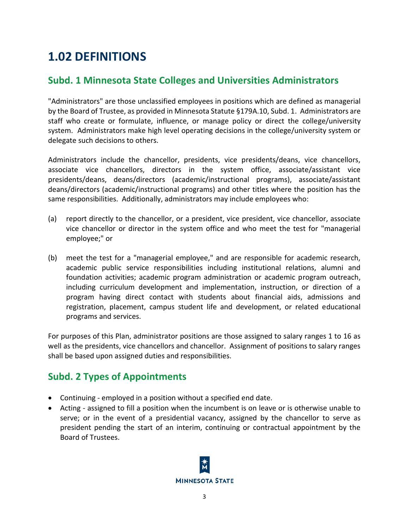## <span id="page-6-0"></span>**1.02 DEFINITIONS**

## <span id="page-6-1"></span>**Subd. 1 Minnesota State Colleges and Universities Administrators**

"Administrators" are those unclassified employees in positions which are defined as managerial by the Board of Trustee, as provided in Minnesota Statute §179A.10, Subd. 1. Administrators are staff who create or formulate, influence, or manage policy or direct the college/university system. Administrators make high level operating decisions in the college/university system or delegate such decisions to others.

Administrators include the chancellor, presidents, vice presidents/deans, vice chancellors, associate vice chancellors, directors in the system office, associate/assistant vice presidents/deans, deans/directors (academic/instructional programs), associate/assistant deans/directors (academic/instructional programs) and other titles where the position has the same responsibilities. Additionally, administrators may include employees who:

- (a) report directly to the chancellor, or a president, vice president, vice chancellor, associate vice chancellor or director in the system office and who meet the test for "managerial employee;" or
- (b) meet the test for a "managerial employee," and are responsible for academic research, academic public service responsibilities including institutional relations, alumni and foundation activities; academic program administration or academic program outreach, including curriculum development and implementation, instruction, or direction of a program having direct contact with students about financial aids, admissions and registration, placement, campus student life and development, or related educational programs and services.

For purposes of this Plan, administrator positions are those assigned to salary ranges 1 to 16 as well as the presidents, vice chancellors and chancellor. Assignment of positions to salary ranges shall be based upon assigned duties and responsibilities.

## <span id="page-6-2"></span>**Subd. 2 Types of Appointments**

- Continuing employed in a position without a specified end date.
- Acting assigned to fill a position when the incumbent is on leave or is otherwise unable to serve; or in the event of a presidential vacancy, assigned by the chancellor to serve as president pending the start of an interim, continuing or contractual appointment by the Board of Trustees.

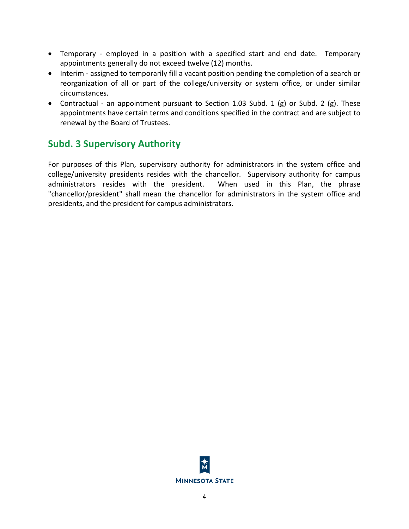- Temporary employed in a position with a specified start and end date. Temporary appointments generally do not exceed twelve (12) months.
- Interim assigned to temporarily fill a vacant position pending the completion of a search or reorganization of all or part of the college/university or system office, or under similar circumstances.
- Contractual an appointment pursuant to Section 1.03 Subd. 1 (g) or Subd. 2 (g). These appointments have certain terms and conditions specified in the contract and are subject to renewal by the Board of Trustees.

## <span id="page-7-0"></span>**Subd. 3 Supervisory Authority**

For purposes of this Plan, supervisory authority for administrators in the system office and college/university presidents resides with the chancellor. Supervisory authority for campus administrators resides with the president. When used in this Plan, the phrase "chancellor/president" shall mean the chancellor for administrators in the system office and presidents, and the president for campus administrators.

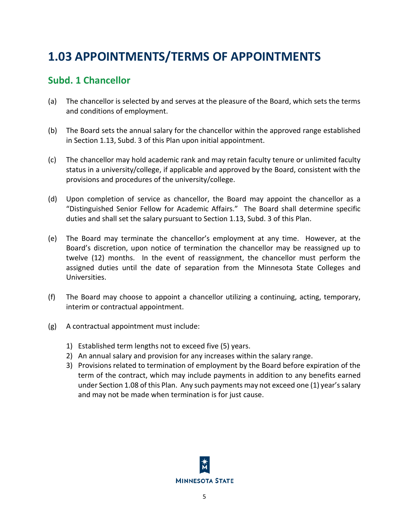## <span id="page-8-0"></span>**1.03 APPOINTMENTS/TERMS OF APPOINTMENTS**

## <span id="page-8-1"></span>**Subd. 1 Chancellor**

- (a) The chancellor is selected by and serves at the pleasure of the Board, which sets the terms and conditions of employment.
- (b) The Board sets the annual salary for the chancellor within the approved range established in Section 1.13, Subd. 3 of this Plan upon initial appointment.
- (c) The chancellor may hold academic rank and may retain faculty tenure or unlimited faculty status in a university/college, if applicable and approved by the Board, consistent with the provisions and procedures of the university/college.
- (d) Upon completion of service as chancellor, the Board may appoint the chancellor as a "Distinguished Senior Fellow for Academic Affairs." The Board shall determine specific duties and shall set the salary pursuant to Section 1.13, Subd. 3 of this Plan.
- (e) The Board may terminate the chancellor's employment at any time. However, at the Board's discretion, upon notice of termination the chancellor may be reassigned up to twelve (12) months. In the event of reassignment, the chancellor must perform the assigned duties until the date of separation from the Minnesota State Colleges and Universities.
- (f) The Board may choose to appoint a chancellor utilizing a continuing, acting, temporary, interim or contractual appointment.
- (g) A contractual appointment must include:
	- 1) Established term lengths not to exceed five (5) years.
	- 2) An annual salary and provision for any increases within the salary range.
	- 3) Provisions related to termination of employment by the Board before expiration of the term of the contract, which may include payments in addition to any benefits earned under Section 1.08 of this Plan. Any such payments may not exceed one (1) year's salary and may not be made when termination is for just cause.

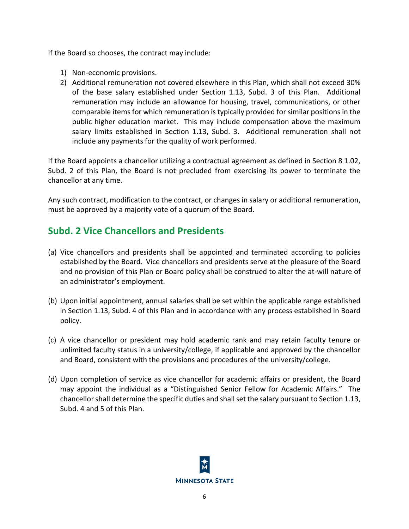If the Board so chooses, the contract may include:

- 1) Non-economic provisions.
- 2) Additional remuneration not covered elsewhere in this Plan, which shall not exceed 30% of the base salary established under Section 1.13, Subd. 3 of this Plan. Additional remuneration may include an allowance for housing, travel, communications, or other comparable items for which remuneration is typically provided for similar positions in the public higher education market. This may include compensation above the maximum salary limits established in Section 1.13, Subd. 3. Additional remuneration shall not include any payments for the quality of work performed.

If the Board appoints a chancellor utilizing a contractual agreement as defined in Section 8 1.02, Subd. 2 of this Plan, the Board is not precluded from exercising its power to terminate the chancellor at any time.

Any such contract, modification to the contract, or changes in salary or additional remuneration, must be approved by a majority vote of a quorum of the Board.

## <span id="page-9-0"></span>**Subd. 2 Vice Chancellors and Presidents**

- (a) Vice chancellors and presidents shall be appointed and terminated according to policies established by the Board. Vice chancellors and presidents serve at the pleasure of the Board and no provision of this Plan or Board policy shall be construed to alter the at-will nature of an administrator's employment.
- (b) Upon initial appointment, annual salaries shall be set within the applicable range established in Section 1.13, Subd. 4 of this Plan and in accordance with any process established in Board policy.
- (c) A vice chancellor or president may hold academic rank and may retain faculty tenure or unlimited faculty status in a university/college, if applicable and approved by the chancellor and Board, consistent with the provisions and procedures of the university/college.
- (d) Upon completion of service as vice chancellor for academic affairs or president, the Board may appoint the individual as a "Distinguished Senior Fellow for Academic Affairs." The chancellor shall determine the specific duties and shall set the salary pursuant to Section 1.13, Subd. 4 and 5 of this Plan.

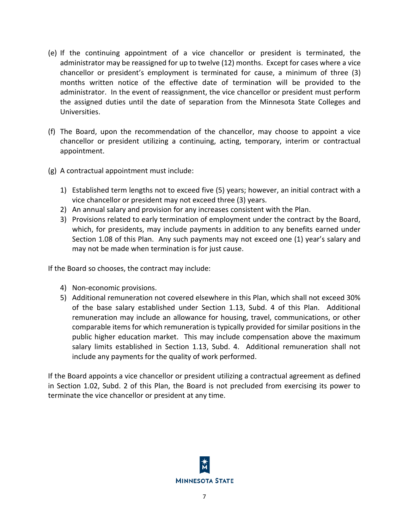- (e) If the continuing appointment of a vice chancellor or president is terminated, the administrator may be reassigned for up to twelve (12) months. Except for cases where a vice chancellor or president's employment is terminated for cause, a minimum of three (3) months written notice of the effective date of termination will be provided to the administrator. In the event of reassignment, the vice chancellor or president must perform the assigned duties until the date of separation from the Minnesota State Colleges and Universities.
- (f) The Board, upon the recommendation of the chancellor, may choose to appoint a vice chancellor or president utilizing a continuing, acting, temporary, interim or contractual appointment.
- (g) A contractual appointment must include:
	- 1) Established term lengths not to exceed five (5) years; however, an initial contract with a vice chancellor or president may not exceed three (3) years.
	- 2) An annual salary and provision for any increases consistent with the Plan.
	- 3) Provisions related to early termination of employment under the contract by the Board, which, for presidents, may include payments in addition to any benefits earned under Section 1.08 of this Plan. Any such payments may not exceed one (1) year's salary and may not be made when termination is for just cause.

If the Board so chooses, the contract may include:

- 4) Non-economic provisions.
- 5) Additional remuneration not covered elsewhere in this Plan, which shall not exceed 30% of the base salary established under Section 1.13, Subd. 4 of this Plan. Additional remuneration may include an allowance for housing, travel, communications, or other comparable items for which remuneration is typically provided for similar positions in the public higher education market. This may include compensation above the maximum salary limits established in Section 1.13, Subd. 4. Additional remuneration shall not include any payments for the quality of work performed.

If the Board appoints a vice chancellor or president utilizing a contractual agreement as defined in Section 1.02, Subd. 2 of this Plan, the Board is not precluded from exercising its power to terminate the vice chancellor or president at any time.

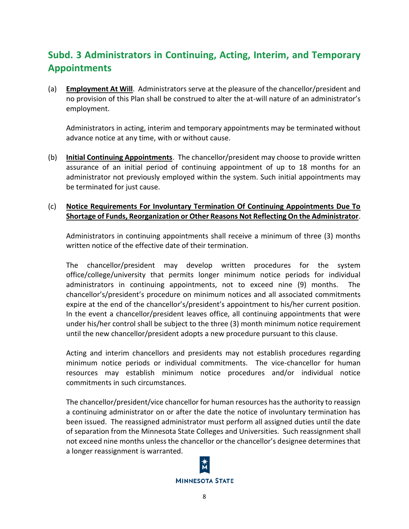## <span id="page-11-0"></span>**Subd. 3 Administrators in Continuing, Acting, Interim, and Temporary Appointments**

(a) **Employment At Will**. Administrators serve at the pleasure of the chancellor/president and no provision of this Plan shall be construed to alter the at-will nature of an administrator's employment.

Administrators in acting, interim and temporary appointments may be terminated without advance notice at any time, with or without cause.

(b) **Initial Continuing Appointments**. The chancellor/president may choose to provide written assurance of an initial period of continuing appointment of up to 18 months for an administrator not previously employed within the system. Such initial appointments may be terminated for just cause.

#### (c) **Notice Requirements For Involuntary Termination Of Continuing Appointments Due To Shortage of Funds, Reorganization or Other Reasons Not Reflecting On the Administrator**.

Administrators in continuing appointments shall receive a minimum of three (3) months written notice of the effective date of their termination.

The chancellor/president may develop written procedures for the system office/college/university that permits longer minimum notice periods for individual administrators in continuing appointments, not to exceed nine (9) months. The chancellor's/president's procedure on minimum notices and all associated commitments expire at the end of the chancellor's/president's appointment to his/her current position. In the event a chancellor/president leaves office, all continuing appointments that were under his/her control shall be subject to the three (3) month minimum notice requirement until the new chancellor/president adopts a new procedure pursuant to this clause.

Acting and interim chancellors and presidents may not establish procedures regarding minimum notice periods or individual commitments. The vice-chancellor for human resources may establish minimum notice procedures and/or individual notice commitments in such circumstances.

The chancellor/president/vice chancellor for human resources has the authority to reassign a continuing administrator on or after the date the notice of involuntary termination has been issued. The reassigned administrator must perform all assigned duties until the date of separation from the Minnesota State Colleges and Universities. Such reassignment shall not exceed nine months unless the chancellor or the chancellor's designee determines that a longer reassignment is warranted.

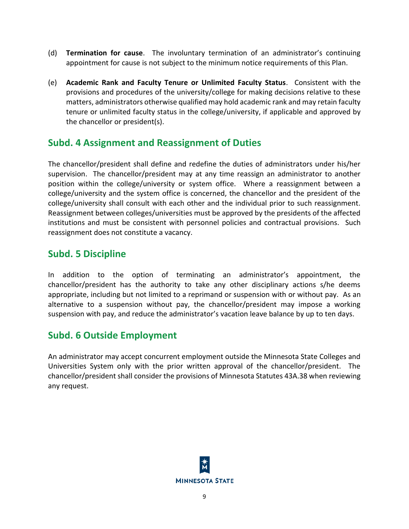- (d) **Termination for cause**. The involuntary termination of an administrator's continuing appointment for cause is not subject to the minimum notice requirements of this Plan.
- (e) **Academic Rank and Faculty Tenure or Unlimited Faculty Status**. Consistent with the provisions and procedures of the university/college for making decisions relative to these matters, administrators otherwise qualified may hold academic rank and may retain faculty tenure or unlimited faculty status in the college/university, if applicable and approved by the chancellor or president(s).

### <span id="page-12-0"></span>**Subd. 4 Assignment and Reassignment of Duties**

The chancellor/president shall define and redefine the duties of administrators under his/her supervision. The chancellor/president may at any time reassign an administrator to another position within the college/university or system office. Where a reassignment between a college/university and the system office is concerned, the chancellor and the president of the college/university shall consult with each other and the individual prior to such reassignment. Reassignment between colleges/universities must be approved by the presidents of the affected institutions and must be consistent with personnel policies and contractual provisions. Such reassignment does not constitute a vacancy.

### <span id="page-12-1"></span>**Subd. 5 Discipline**

In addition to the option of terminating an administrator's appointment, the chancellor/president has the authority to take any other disciplinary actions s/he deems appropriate, including but not limited to a reprimand or suspension with or without pay. As an alternative to a suspension without pay, the chancellor/president may impose a working suspension with pay, and reduce the administrator's vacation leave balance by up to ten days.

## <span id="page-12-2"></span>**Subd. 6 Outside Employment**

An administrator may accept concurrent employment outside the Minnesota State Colleges and Universities System only with the prior written approval of the chancellor/president. The chancellor/president shall consider the provisions of Minnesota Statutes 43A.38 when reviewing any request.

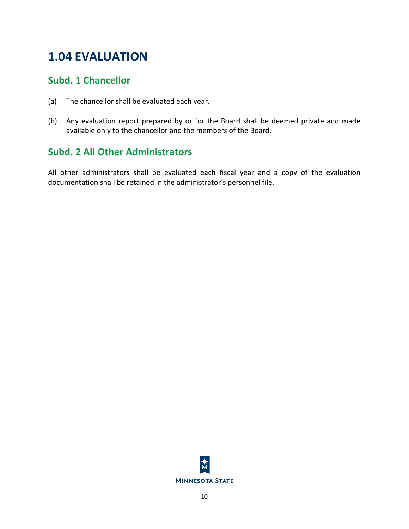## <span id="page-13-0"></span>**1.04 EVALUATION**

### <span id="page-13-1"></span>**Subd. 1 Chancellor**

- (a) The chancellor shall be evaluated each year.
- (b) Any evaluation report prepared by or for the Board shall be deemed private and made available only to the chancellor and the members of the Board.

## <span id="page-13-2"></span>**Subd. 2 All Other Administrators**

All other administrators shall be evaluated each fiscal year and a copy of the evaluation documentation shall be retained in the administrator's personnel file.

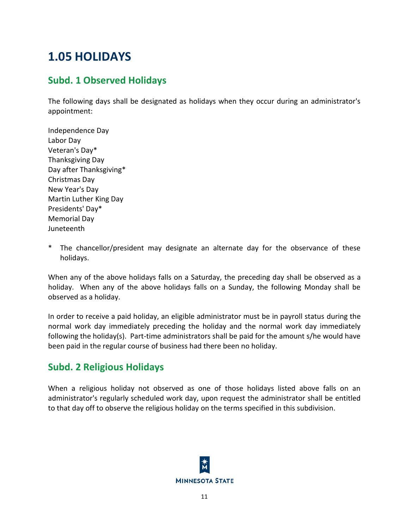## <span id="page-14-0"></span>**1.05 HOLIDAYS**

## <span id="page-14-1"></span>**Subd. 1 Observed Holidays**

The following days shall be designated as holidays when they occur during an administrator's appointment:

- Independence Day Labor Day Veteran's Day\* Thanksgiving Day Day after Thanksgiving\* Christmas Day New Year's Day Martin Luther King Day Presidents' Day\* Memorial Day Juneteenth
- The chancellor/president may designate an alternate day for the observance of these holidays.

When any of the above holidays falls on a Saturday, the preceding day shall be observed as a holiday. When any of the above holidays falls on a Sunday, the following Monday shall be observed as a holiday.

In order to receive a paid holiday, an eligible administrator must be in payroll status during the normal work day immediately preceding the holiday and the normal work day immediately following the holiday(s). Part-time administrators shall be paid for the amount s/he would have been paid in the regular course of business had there been no holiday.

## <span id="page-14-2"></span>**Subd. 2 Religious Holidays**

When a religious holiday not observed as one of those holidays listed above falls on an administrator's regularly scheduled work day, upon request the administrator shall be entitled to that day off to observe the religious holiday on the terms specified in this subdivision.

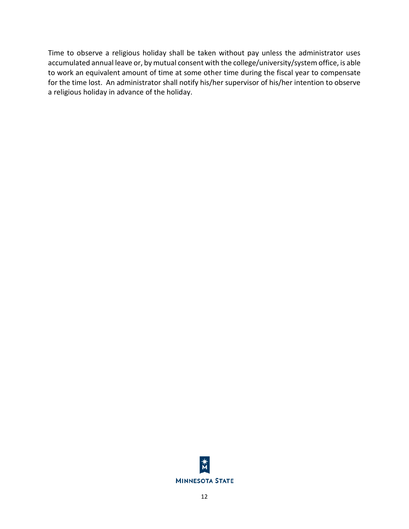Time to observe a religious holiday shall be taken without pay unless the administrator uses accumulated annual leave or, by mutual consent with the college/university/system office, is able to work an equivalent amount of time at some other time during the fiscal year to compensate for the time lost. An administrator shall notify his/her supervisor of his/her intention to observe a religious holiday in advance of the holiday.

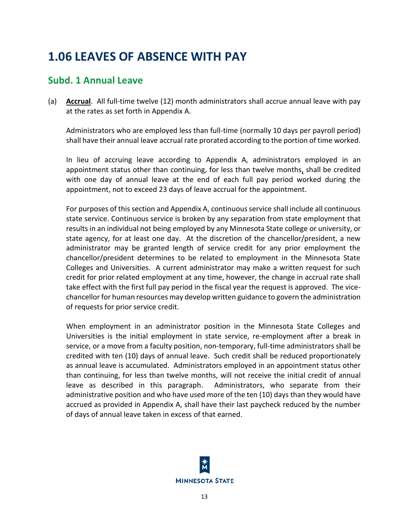## <span id="page-16-0"></span>**1.06 LEAVES OF ABSENCE WITH PAY**

### <span id="page-16-1"></span>**Subd. 1 Annual Leave**

(a) **Accrual**. All full-time twelve (12) month administrators shall accrue annual leave with pay at the rates as set forth in Appendix A.

Administrators who are employed less than full-time (normally 10 days per payroll period) shall have their annual leave accrual rate prorated according to the portion of time worked.

In lieu of accruing leave according to Appendix A, administrators employed in an appointment status other than continuing, for less than twelve months, shall be credited with one day of annual leave at the end of each full pay period worked during the appointment, not to exceed 23 days of leave accrual for the appointment.

For purposes of this section and Appendix A, continuous service shall include all continuous state service. Continuous service is broken by any separation from state employment that results in an individual not being employed by any Minnesota State college or university, or state agency, for at least one day. At the discretion of the chancellor/president, a new administrator may be granted length of service credit for any prior employment the chancellor/president determines to be related to employment in the Minnesota State Colleges and Universities. A current administrator may make a written request for such credit for prior related employment at any time, however, the change in accrual rate shall take effect with the first full pay period in the fiscal year the request is approved. The vicechancellor for human resources may develop written guidance to govern the administration of requests for prior service credit.

When employment in an administrator position in the Minnesota State Colleges and Universities is the initial employment in state service, re-employment after a break in service, or a move from a faculty position, non-temporary, full-time administrators shall be credited with ten (10) days of annual leave. Such credit shall be reduced proportionately as annual leave is accumulated. Administrators employed in an appointment status other than continuing, for less than twelve months, will not receive the initial credit of annual leave as described in this paragraph. Administrators, who separate from their administrative position and who have used more of the ten (10) days than they would have accrued as provided in Appendix A, shall have their last paycheck reduced by the number of days of annual leave taken in excess of that earned.

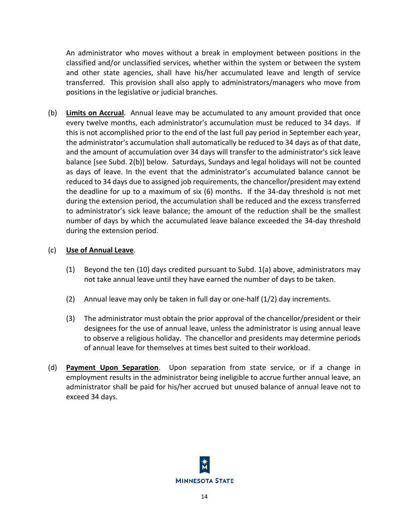An administrator who moves without a break in employment between positions in the classified and/or unclassified services, whether within the system or between the system and other state agencies, shall have his/her accumulated leave and length of service transferred. This provision shall also apply to administrators/managers who move from positions in the legislative or judicial branches.

(b) **Limits on Accrual**.Annual leave may be accumulated to any amount provided that once every twelve months, each administrator's accumulation must be reduced to 34 days. If this is not accomplished prior to the end of the last full pay period in September each year, the administrator's accumulation shall automatically be reduced to 34 days as of that date, and the amount of accumulation over 34 days will transfer to the administrator's sick leave balance [see Subd. 2(b)] below. Saturdays, Sundays and legal holidays will not be counted as days of leave. In the event that the administrator's accumulated balance cannot be reduced to 34 days due to assigned job requirements, the chancellor/president may extend the deadline for up to a maximum of six (6) months. If the 34-day threshold is not met during the extension period, the accumulation shall be reduced and the excess transferred to administrator's sick leave balance; the amount of the reduction shall be the smallest number of days by which the accumulated leave balance exceeded the 34-day threshold during the extension period.

#### (c) **Use of Annual Leave**.

- (1) Beyond the ten (10) days credited pursuant to Subd. 1(a) above, administrators may not take annual leave until they have earned the number of days to be taken.
- (2) Annual leave may only be taken in full day or one-half (1/2) day increments.
- (3) The administrator must obtain the prior approval of the chancellor/president or their designees for the use of annual leave, unless the administrator is using annual leave to observe a religious holiday. The chancellor and presidents may determine periods of annual leave for themselves at times best suited to their workload.
- (d) **Payment Upon Separation**. Upon separation from state service, or if a change in employment results in the administrator being ineligible to accrue further annual leave, an administrator shall be paid for his/her accrued but unused balance of annual leave not to exceed 34 days.

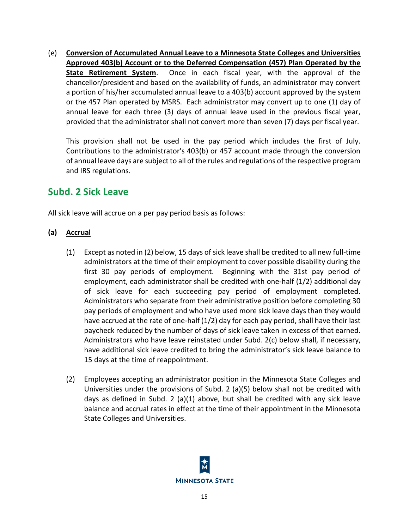(e) **Conversion of Accumulated Annual Leave to a Minnesota State Colleges and Universities Approved 403(b) Account or to the Deferred Compensation (457) Plan Operated by the State Retirement System**. Once in each fiscal year, with the approval of the chancellor/president and based on the availability of funds, an administrator may convert a portion of his/her accumulated annual leave to a 403(b) account approved by the system or the 457 Plan operated by MSRS. Each administrator may convert up to one (1) day of annual leave for each three (3) days of annual leave used in the previous fiscal year, provided that the administrator shall not convert more than seven (7) days per fiscal year.

This provision shall not be used in the pay period which includes the first of July. Contributions to the administrator's 403(b) or 457 account made through the conversion of annual leave days are subject to all of the rules and regulations of the respective program and IRS regulations.

### <span id="page-18-0"></span>**Subd. 2 Sick Leave**

All sick leave will accrue on a per pay period basis as follows:

- **(a) Accrual**
	- (1) Except as noted in (2) below, 15 days of sick leave shall be credited to all new full-time administrators at the time of their employment to cover possible disability during the first 30 pay periods of employment. Beginning with the 31st pay period of employment, each administrator shall be credited with one-half (1/2) additional day of sick leave for each succeeding pay period of employment completed. Administrators who separate from their administrative position before completing 30 pay periods of employment and who have used more sick leave days than they would have accrued at the rate of one-half (1/2) day for each pay period, shall have their last paycheck reduced by the number of days of sick leave taken in excess of that earned. Administrators who have leave reinstated under Subd. 2(c) below shall, if necessary, have additional sick leave credited to bring the administrator's sick leave balance to 15 days at the time of reappointment.
	- (2) Employees accepting an administrator position in the Minnesota State Colleges and Universities under the provisions of Subd. 2 (a)(5) below shall not be credited with days as defined in Subd. 2 (a)(1) above, but shall be credited with any sick leave balance and accrual rates in effect at the time of their appointment in the Minnesota State Colleges and Universities.

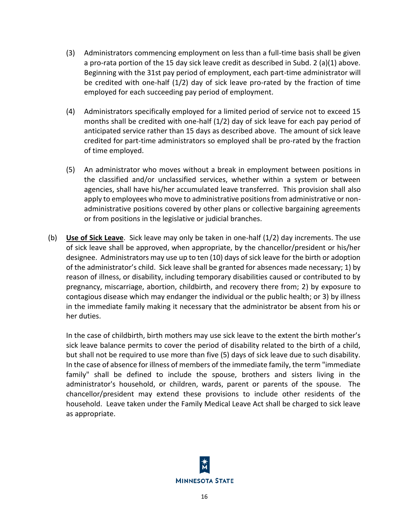- (3) Administrators commencing employment on less than a full-time basis shall be given a pro-rata portion of the 15 day sick leave credit as described in Subd. 2 (a)(1) above. Beginning with the 31st pay period of employment, each part-time administrator will be credited with one-half (1/2) day of sick leave pro-rated by the fraction of time employed for each succeeding pay period of employment.
- (4) Administrators specifically employed for a limited period of service not to exceed 15 months shall be credited with one-half (1/2) day of sick leave for each pay period of anticipated service rather than 15 days as described above. The amount of sick leave credited for part-time administrators so employed shall be pro-rated by the fraction of time employed.
- (5) An administrator who moves without a break in employment between positions in the classified and/or unclassified services, whether within a system or between agencies, shall have his/her accumulated leave transferred. This provision shall also apply to employees who move to administrative positions from administrative or nonadministrative positions covered by other plans or collective bargaining agreements or from positions in the legislative or judicial branches.
- (b) **Use of Sick Leave**. Sick leave may only be taken in one-half (1/2) day increments. The use of sick leave shall be approved, when appropriate, by the chancellor/president or his/her designee. Administrators may use up to ten (10) days of sick leave for the birth or adoption of the administrator's child. Sick leave shall be granted for absences made necessary; 1) by reason of illness, or disability, including temporary disabilities caused or contributed to by pregnancy, miscarriage, abortion, childbirth, and recovery there from; 2) by exposure to contagious disease which may endanger the individual or the public health; or 3) by illness in the immediate family making it necessary that the administrator be absent from his or her duties.

In the case of childbirth, birth mothers may use sick leave to the extent the birth mother's sick leave balance permits to cover the period of disability related to the birth of a child, but shall not be required to use more than five (5) days of sick leave due to such disability. In the case of absence for illness of members of the immediate family, the term "immediate family" shall be defined to include the spouse, brothers and sisters living in the administrator's household, or children, wards, parent or parents of the spouse. The chancellor/president may extend these provisions to include other residents of the household. Leave taken under the Family Medical Leave Act shall be charged to sick leave as appropriate.

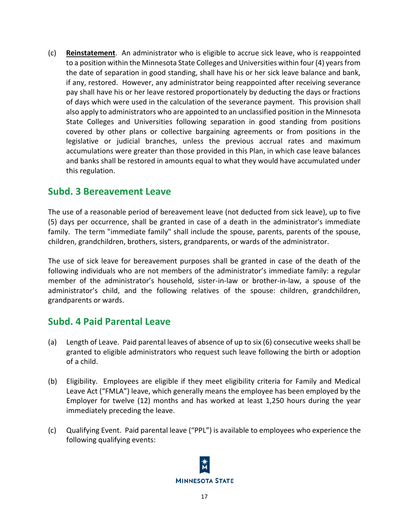(c) **Reinstatement**. An administrator who is eligible to accrue sick leave, who is reappointed to a position within the Minnesota State Colleges and Universities within four (4) years from the date of separation in good standing, shall have his or her sick leave balance and bank, if any, restored. However, any administrator being reappointed after receiving severance pay shall have his or her leave restored proportionately by deducting the days or fractions of days which were used in the calculation of the severance payment. This provision shall also apply to administrators who are appointed to an unclassified position in the Minnesota State Colleges and Universities following separation in good standing from positions covered by other plans or collective bargaining agreements or from positions in the legislative or judicial branches, unless the previous accrual rates and maximum accumulations were greater than those provided in this Plan, in which case leave balances and banks shall be restored in amounts equal to what they would have accumulated under this regulation.

#### <span id="page-20-0"></span>**Subd. 3 Bereavement Leave**

The use of a reasonable period of bereavement leave (not deducted from sick leave), up to five (5) days per occurrence, shall be granted in case of a death in the administrator's immediate family. The term "immediate family" shall include the spouse, parents, parents of the spouse, children, grandchildren, brothers, sisters, grandparents, or wards of the administrator.

The use of sick leave for bereavement purposes shall be granted in case of the death of the following individuals who are not members of the administrator's immediate family: a regular member of the administrator's household, sister-in-law or brother-in-law, a spouse of the administrator's child, and the following relatives of the spouse: children, grandchildren, grandparents or wards.

### <span id="page-20-1"></span>**Subd. 4 Paid Parental Leave**

- (a) Length of Leave. Paid parental leaves of absence of up to six (6) consecutive weeks shall be granted to eligible administrators who request such leave following the birth or adoption of a child.
- (b) Eligibility. Employees are eligible if they meet eligibility criteria for Family and Medical Leave Act ("FMLA") leave, which generally means the employee has been employed by the Employer for twelve (12) months and has worked at least 1,250 hours during the year immediately preceding the leave.
- (c) Qualifying Event. Paid parental leave ("PPL") is available to employees who experience the following qualifying events:

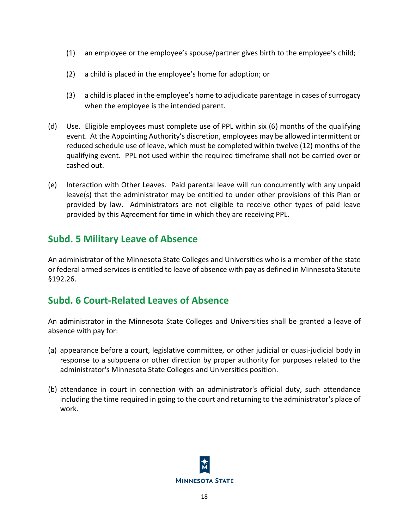- (1) an employee or the employee's spouse/partner gives birth to the employee's child;
- (2) a child is placed in the employee's home for adoption; or
- (3) a child is placed in the employee's home to adjudicate parentage in cases of surrogacy when the employee is the intended parent.
- (d) Use. Eligible employees must complete use of PPL within six (6) months of the qualifying event. At the Appointing Authority's discretion, employees may be allowed intermittent or reduced schedule use of leave, which must be completed within twelve (12) months of the qualifying event. PPL not used within the required timeframe shall not be carried over or cashed out.
- (e) Interaction with Other Leaves. Paid parental leave will run concurrently with any unpaid leave(s) that the administrator may be entitled to under other provisions of this Plan or provided by law. Administrators are not eligible to receive other types of paid leave provided by this Agreement for time in which they are receiving PPL.

## <span id="page-21-0"></span>**Subd. 5 Military Leave of Absence**

An administrator of the Minnesota State Colleges and Universities who is a member of the state or federal armed services is entitled to leave of absence with pay as defined in Minnesota Statute §192.26.

## <span id="page-21-1"></span>**Subd. 6 Court-Related Leaves of Absence**

An administrator in the Minnesota State Colleges and Universities shall be granted a leave of absence with pay for:

- (a) appearance before a court, legislative committee, or other judicial or quasi-judicial body in response to a subpoena or other direction by proper authority for purposes related to the administrator's Minnesota State Colleges and Universities position.
- <span id="page-21-2"></span>(b) attendance in court in connection with an administrator's official duty, such attendance including the time required in going to the court and returning to the administrator's place of work.

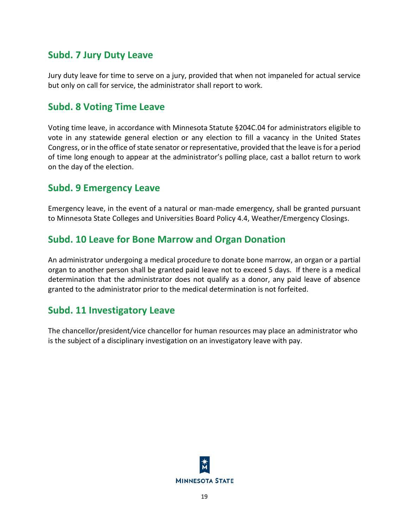## **Subd. 7 Jury Duty Leave**

Jury duty leave for time to serve on a jury, provided that when not impaneled for actual service but only on call for service, the administrator shall report to work.

#### <span id="page-22-0"></span>**Subd. 8 Voting Time Leave**

Voting time leave, in accordance with Minnesota Statute §204C.04 for administrators eligible to vote in any statewide general election or any election to fill a vacancy in the United States Congress, or in the office of state senator or representative, provided that the leave is for a period of time long enough to appear at the administrator's polling place, cast a ballot return to work on the day of the election.

### <span id="page-22-1"></span>**Subd. 9 Emergency Leave**

Emergency leave, in the event of a natural or man-made emergency, shall be granted pursuant to Minnesota State Colleges and Universities Board Policy 4.4, Weather/Emergency Closings.

#### <span id="page-22-2"></span>**Subd. 10 Leave for Bone Marrow and Organ Donation**

An administrator undergoing a medical procedure to donate bone marrow, an organ or a partial organ to another person shall be granted paid leave not to exceed 5 days. If there is a medical determination that the administrator does not qualify as a donor, any paid leave of absence granted to the administrator prior to the medical determination is not forfeited.

#### <span id="page-22-3"></span>**Subd. 11 Investigatory Leave**

The chancellor/president/vice chancellor for human resources may place an administrator who is the subject of a disciplinary investigation on an investigatory leave with pay.

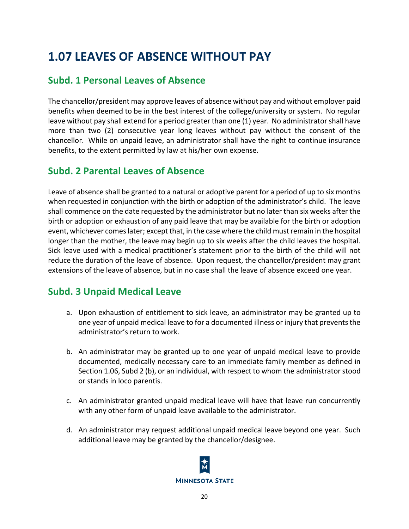## <span id="page-23-0"></span>**1.07 LEAVES OF ABSENCE WITHOUT PAY**

## <span id="page-23-1"></span>**Subd. 1 Personal Leaves of Absence**

The chancellor/president may approve leaves of absence without pay and without employer paid benefits when deemed to be in the best interest of the college/university or system. No regular leave without pay shall extend for a period greater than one (1) year. No administrator shall have more than two (2) consecutive year long leaves without pay without the consent of the chancellor. While on unpaid leave, an administrator shall have the right to continue insurance benefits, to the extent permitted by law at his/her own expense.

## <span id="page-23-2"></span>**Subd. 2 Parental Leaves of Absence**

Leave of absence shall be granted to a natural or adoptive parent for a period of up to six months when requested in conjunction with the birth or adoption of the administrator's child. The leave shall commence on the date requested by the administrator but no later than six weeks after the birth or adoption or exhaustion of any paid leave that may be available for the birth or adoption event, whichever comes later; except that, in the case where the child must remain in the hospital longer than the mother, the leave may begin up to six weeks after the child leaves the hospital. Sick leave used with a medical practitioner's statement prior to the birth of the child will not reduce the duration of the leave of absence. Upon request, the chancellor/president may grant extensions of the leave of absence, but in no case shall the leave of absence exceed one year.

## <span id="page-23-3"></span>**Subd. 3 Unpaid Medical Leave**

- a. Upon exhaustion of entitlement to sick leave, an administrator may be granted up to one year of unpaid medical leave to for a documented illness or injury that prevents the administrator's return to work.
- b. An administrator may be granted up to one year of unpaid medical leave to provide documented, medically necessary care to an immediate family member as defined in Section 1.06, Subd 2 (b), or an individual, with respect to whom the administrator stood or stands in loco parentis.
- c. An administrator granted unpaid medical leave will have that leave run concurrently with any other form of unpaid leave available to the administrator.
- d. An administrator may request additional unpaid medical leave beyond one year. Such additional leave may be granted by the chancellor/designee.

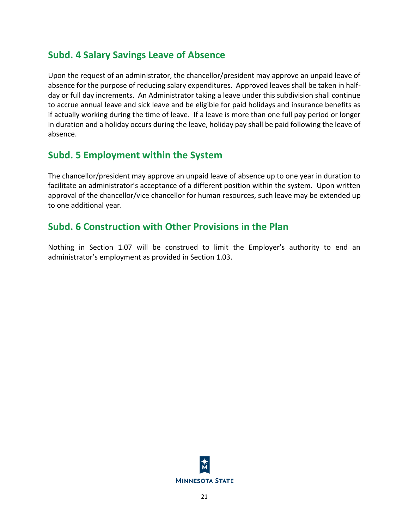## <span id="page-24-0"></span>**Subd. 4 Salary Savings Leave of Absence**

Upon the request of an administrator, the chancellor/president may approve an unpaid leave of absence for the purpose of reducing salary expenditures. Approved leaves shall be taken in halfday or full day increments. An Administrator taking a leave under this subdivision shall continue to accrue annual leave and sick leave and be eligible for paid holidays and insurance benefits as if actually working during the time of leave. If a leave is more than one full pay period or longer in duration and a holiday occurs during the leave, holiday pay shall be paid following the leave of absence.

### <span id="page-24-1"></span>**Subd. 5 Employment within the System**

The chancellor/president may approve an unpaid leave of absence up to one year in duration to facilitate an administrator's acceptance of a different position within the system. Upon written approval of the chancellor/vice chancellor for human resources, such leave may be extended up to one additional year.

## <span id="page-24-2"></span>**Subd. 6 Construction with Other Provisions in the Plan**

Nothing in Section 1.07 will be construed to limit the Employer's authority to end an administrator's employment as provided in Section 1.03.

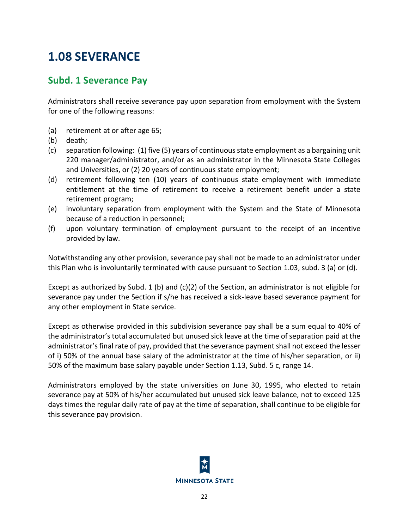## <span id="page-25-0"></span>**1.08 SEVERANCE**

## <span id="page-25-1"></span>**Subd. 1 Severance Pay**

Administrators shall receive severance pay upon separation from employment with the System for one of the following reasons:

- (a) retirement at or after age 65;
- (b) death;
- (c) separation following: (1) five (5) years of continuous state employment as a bargaining unit 220 manager/administrator, and/or as an administrator in the Minnesota State Colleges and Universities, or (2) 20 years of continuous state employment;
- (d) retirement following ten (10) years of continuous state employment with immediate entitlement at the time of retirement to receive a retirement benefit under a state retirement program;
- (e) involuntary separation from employment with the System and the State of Minnesota because of a reduction in personnel;
- (f) upon voluntary termination of employment pursuant to the receipt of an incentive provided by law.

Notwithstanding any other provision, severance pay shall not be made to an administrator under this Plan who is involuntarily terminated with cause pursuant to Section 1.03, subd. 3 (a) or (d).

Except as authorized by Subd. 1 (b) and (c)(2) of the Section, an administrator is not eligible for severance pay under the Section if s/he has received a sick-leave based severance payment for any other employment in State service.

Except as otherwise provided in this subdivision severance pay shall be a sum equal to 40% of the administrator's total accumulated but unused sick leave at the time of separation paid at the administrator's final rate of pay, provided that the severance payment shall not exceed the lesser of i) 50% of the annual base salary of the administrator at the time of his/her separation, or ii) 50% of the maximum base salary payable under Section 1.13, Subd. 5 c, range 14.

Administrators employed by the state universities on June 30, 1995, who elected to retain severance pay at 50% of his/her accumulated but unused sick leave balance, not to exceed 125 days times the regular daily rate of pay at the time of separation, shall continue to be eligible for this severance pay provision.

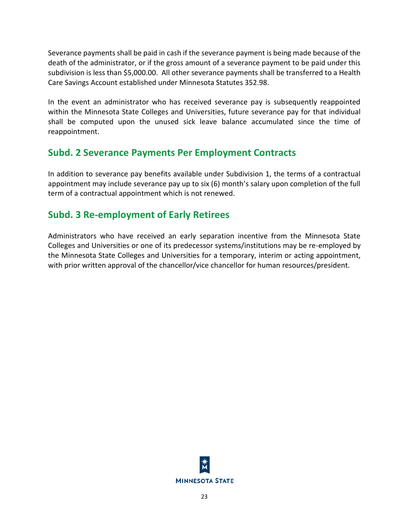Severance payments shall be paid in cash if the severance payment is being made because of the death of the administrator, or if the gross amount of a severance payment to be paid under this subdivision is less than \$5,000.00. All other severance payments shall be transferred to a Health Care Savings Account established under Minnesota Statutes 352.98.

In the event an administrator who has received severance pay is subsequently reappointed within the Minnesota State Colleges and Universities, future severance pay for that individual shall be computed upon the unused sick leave balance accumulated since the time of reappointment.

## <span id="page-26-0"></span>**Subd. 2 Severance Payments Per Employment Contracts**

In addition to severance pay benefits available under Subdivision 1, the terms of a contractual appointment may include severance pay up to six (6) month's salary upon completion of the full term of a contractual appointment which is not renewed.

## <span id="page-26-1"></span>**Subd. 3 Re-employment of Early Retirees**

Administrators who have received an early separation incentive from the Minnesota State Colleges and Universities or one of its predecessor systems/institutions may be re-employed by the Minnesota State Colleges and Universities for a temporary, interim or acting appointment, with prior written approval of the chancellor/vice chancellor for human resources/president.

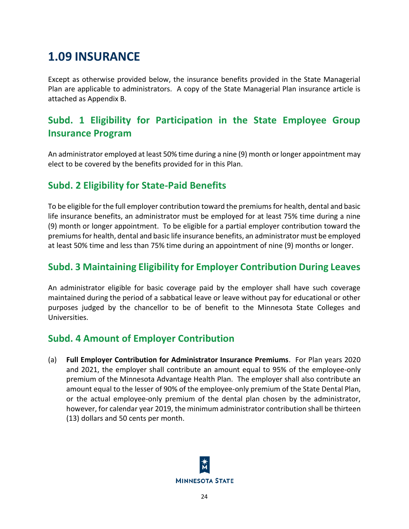## <span id="page-27-0"></span>**1.09 INSURANCE**

Except as otherwise provided below, the insurance benefits provided in the State Managerial Plan are applicable to administrators. A copy of the State Managerial Plan insurance article is attached as Appendix B.

## <span id="page-27-1"></span>**Subd. 1 Eligibility for Participation in the State Employee Group Insurance Program**

An administrator employed at least 50% time during a nine (9) month or longer appointment may elect to be covered by the benefits provided for in this Plan.

## <span id="page-27-2"></span>**Subd. 2 Eligibility for State-Paid Benefits**

To be eligible for the full employer contribution toward the premiums for health, dental and basic life insurance benefits, an administrator must be employed for at least 75% time during a nine (9) month or longer appointment. To be eligible for a partial employer contribution toward the premiums for health, dental and basic life insurance benefits, an administrator must be employed at least 50% time and less than 75% time during an appointment of nine (9) months or longer.

## <span id="page-27-3"></span>**Subd. 3 Maintaining Eligibility for Employer Contribution During Leaves**

An administrator eligible for basic coverage paid by the employer shall have such coverage maintained during the period of a sabbatical leave or leave without pay for educational or other purposes judged by the chancellor to be of benefit to the Minnesota State Colleges and Universities.

## <span id="page-27-4"></span>**Subd. 4 Amount of Employer Contribution**

(a) **Full Employer Contribution for Administrator Insurance Premiums**. For Plan years 2020 and 2021, the employer shall contribute an amount equal to 95% of the employee-only premium of the Minnesota Advantage Health Plan. The employer shall also contribute an amount equal to the lesser of 90% of the employee-only premium of the State Dental Plan, or the actual employee-only premium of the dental plan chosen by the administrator, however, for calendar year 2019, the minimum administrator contribution shall be thirteen (13) dollars and 50 cents per month.

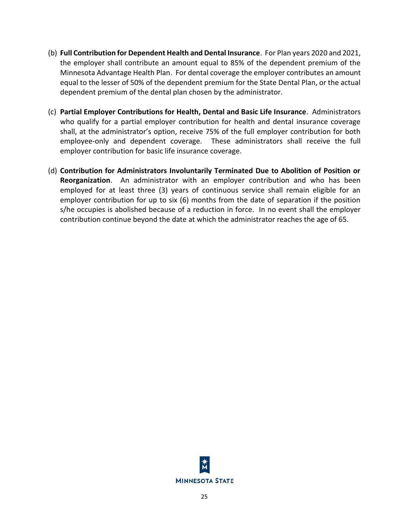- (b) **Full Contribution for Dependent Health and Dental Insurance**. For Plan years 2020 and 2021, the employer shall contribute an amount equal to 85% of the dependent premium of the Minnesota Advantage Health Plan. For dental coverage the employer contributes an amount equal to the lesser of 50% of the dependent premium for the State Dental Plan, or the actual dependent premium of the dental plan chosen by the administrator.
- (c) **Partial Employer Contributions for Health, Dental and Basic Life Insurance**. Administrators who qualify for a partial employer contribution for health and dental insurance coverage shall, at the administrator's option, receive 75% of the full employer contribution for both employee-only and dependent coverage. These administrators shall receive the full employer contribution for basic life insurance coverage.
- (d) **Contribution for Administrators Involuntarily Terminated Due to Abolition of Position or Reorganization**. An administrator with an employer contribution and who has been employed for at least three (3) years of continuous service shall remain eligible for an employer contribution for up to six (6) months from the date of separation if the position s/he occupies is abolished because of a reduction in force. In no event shall the employer contribution continue beyond the date at which the administrator reaches the age of 65.

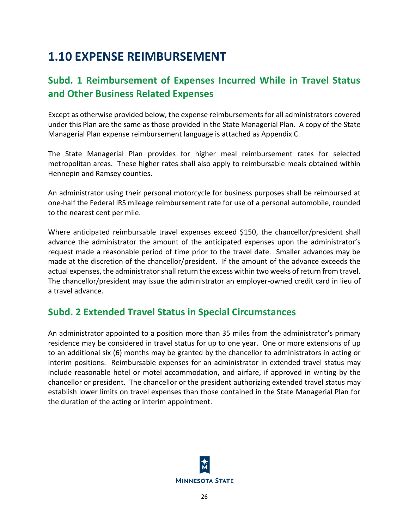## <span id="page-29-0"></span>**1.10 EXPENSE REIMBURSEMENT**

## <span id="page-29-1"></span>**Subd. 1 Reimbursement of Expenses Incurred While in Travel Status and Other Business Related Expenses**

Except as otherwise provided below, the expense reimbursements for all administrators covered under this Plan are the same as those provided in the State Managerial Plan. A copy of the State Managerial Plan expense reimbursement language is attached as Appendix C.

The State Managerial Plan provides for higher meal reimbursement rates for selected metropolitan areas. These higher rates shall also apply to reimbursable meals obtained within Hennepin and Ramsey counties.

An administrator using their personal motorcycle for business purposes shall be reimbursed at one-half the Federal IRS mileage reimbursement rate for use of a personal automobile, rounded to the nearest cent per mile.

Where anticipated reimbursable travel expenses exceed \$150, the chancellor/president shall advance the administrator the amount of the anticipated expenses upon the administrator's request made a reasonable period of time prior to the travel date. Smaller advances may be made at the discretion of the chancellor/president. If the amount of the advance exceeds the actual expenses, the administrator shall return the excess within two weeks of return from travel. The chancellor/president may issue the administrator an employer-owned credit card in lieu of a travel advance.

## <span id="page-29-2"></span>**Subd. 2 Extended Travel Status in Special Circumstances**

An administrator appointed to a position more than 35 miles from the administrator's primary residence may be considered in travel status for up to one year. One or more extensions of up to an additional six (6) months may be granted by the chancellor to administrators in acting or interim positions. Reimbursable expenses for an administrator in extended travel status may include reasonable hotel or motel accommodation, and airfare, if approved in writing by the chancellor or president. The chancellor or the president authorizing extended travel status may establish lower limits on travel expenses than those contained in the State Managerial Plan for the duration of the acting or interim appointment.

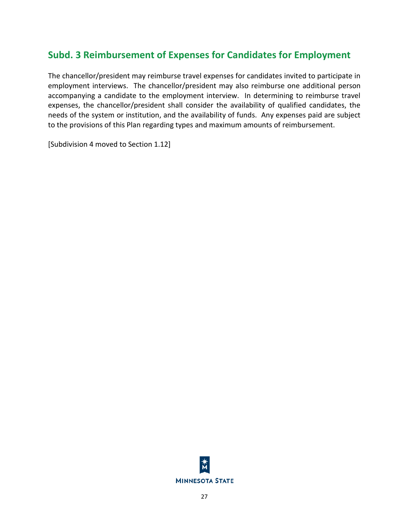## <span id="page-30-0"></span>**Subd. 3 Reimbursement of Expenses for Candidates for Employment**

The chancellor/president may reimburse travel expenses for candidates invited to participate in employment interviews. The chancellor/president may also reimburse one additional person accompanying a candidate to the employment interview. In determining to reimburse travel expenses, the chancellor/president shall consider the availability of qualified candidates, the needs of the system or institution, and the availability of funds. Any expenses paid are subject to the provisions of this Plan regarding types and maximum amounts of reimbursement.

[Subdivision 4 moved to Section 1.12]

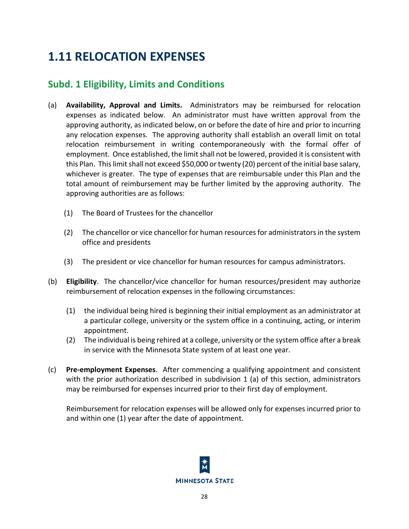## <span id="page-31-0"></span>**1.11 RELOCATION EXPENSES**

## <span id="page-31-1"></span>**Subd. 1 Eligibility, Limits and Conditions**

- (a) **Availability, Approval and Limits.** Administrators may be reimbursed for relocation expenses as indicated below. An administrator must have written approval from the approving authority, as indicated below, on or before the date of hire and prior to incurring any relocation expenses. The approving authority shall establish an overall limit on total relocation reimbursement in writing contemporaneously with the formal offer of employment. Once established, the limit shall not be lowered, provided it is consistent with this Plan. This limit shall not exceed \$50,000 or twenty (20) percent of the initial base salary, whichever is greater. The type of expenses that are reimbursable under this Plan and the total amount of reimbursement may be further limited by the approving authority. The approving authorities are as follows:
	- (1) The Board of Trustees for the chancellor
	- (2) The chancellor or vice chancellor for human resources for administrators in the system office and presidents
	- (3) The president or vice chancellor for human resources for campus administrators.
- (b) **Eligibility**. The chancellor/vice chancellor for human resources/president may authorize reimbursement of relocation expenses in the following circumstances:
	- (1) the individual being hired is beginning their initial employment as an administrator at a particular college, university or the system office in a continuing, acting, or interim appointment.
	- (2) The individual is being rehired at a college, university or the system office after a break in service with the Minnesota State system of at least one year.
- (c) **Pre-employment Expenses**. After commencing a qualifying appointment and consistent with the prior authorization described in subdivision 1 (a) of this section, administrators may be reimbursed for expenses incurred prior to their first day of employment.

Reimbursement for relocation expenses will be allowed only for expenses incurred prior to and within one (1) year after the date of appointment.

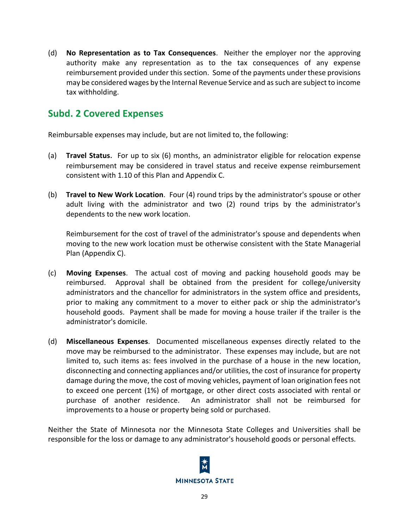(d) **No Representation as to Tax Consequences**. Neither the employer nor the approving authority make any representation as to the tax consequences of any expense reimbursement provided under this section. Some of the payments under these provisions may be considered wages by the Internal Revenue Service and as such are subject to income tax withholding.

## <span id="page-32-0"></span>**Subd. 2 Covered Expenses**

Reimbursable expenses may include, but are not limited to, the following:

- (a) **Travel Status**.For up to six (6) months, an administrator eligible for relocation expense reimbursement may be considered in travel status and receive expense reimbursement consistent with 1.10 of this Plan and Appendix C.
- (b) **Travel to New Work Location**. Four (4) round trips by the administrator's spouse or other adult living with the administrator and two (2) round trips by the administrator's dependents to the new work location.

Reimbursement for the cost of travel of the administrator's spouse and dependents when moving to the new work location must be otherwise consistent with the State Managerial Plan (Appendix C).

- (c) **Moving Expenses**. The actual cost of moving and packing household goods may be reimbursed. Approval shall be obtained from the president for college/university administrators and the chancellor for administrators in the system office and presidents, prior to making any commitment to a mover to either pack or ship the administrator's household goods. Payment shall be made for moving a house trailer if the trailer is the administrator's domicile.
- (d) **Miscellaneous Expenses**. Documented miscellaneous expenses directly related to the move may be reimbursed to the administrator. These expenses may include, but are not limited to, such items as: fees involved in the purchase of a house in the new location, disconnecting and connecting appliances and/or utilities, the cost of insurance for property damage during the move, the cost of moving vehicles, payment of loan origination fees not to exceed one percent (1%) of mortgage, or other direct costs associated with rental or purchase of another residence. An administrator shall not be reimbursed for improvements to a house or property being sold or purchased.

Neither the State of Minnesota nor the Minnesota State Colleges and Universities shall be responsible for the loss or damage to any administrator's household goods or personal effects.

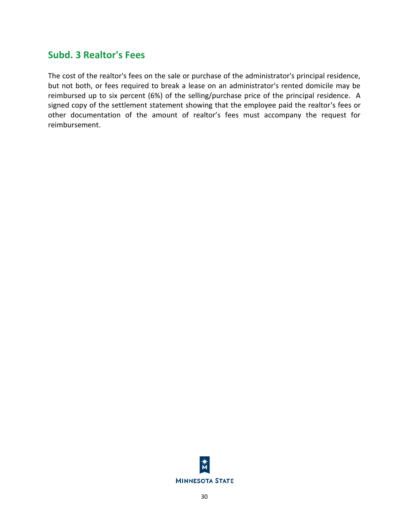### <span id="page-33-0"></span>**Subd. 3 Realtor's Fees**

The cost of the realtor's fees on the sale or purchase of the administrator's principal residence, but not both, or fees required to break a lease on an administrator's rented domicile may be reimbursed up to six percent (6%) of the selling/purchase price of the principal residence. A signed copy of the settlement statement showing that the employee paid the realtor's fees or other documentation of the amount of realtor's fees must accompany the request for reimbursement.

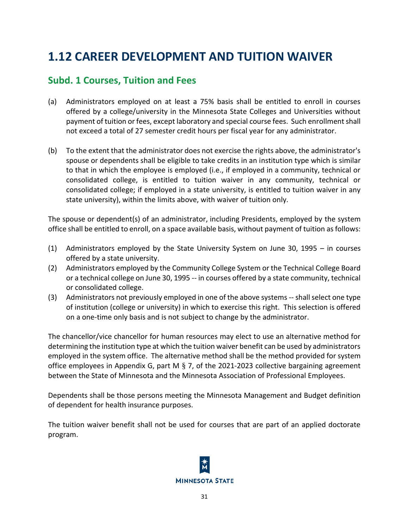## <span id="page-34-0"></span>**1.12 CAREER DEVELOPMENT AND TUITION WAIVER**

### <span id="page-34-1"></span>**Subd. 1 Courses, Tuition and Fees**

- (a) Administrators employed on at least a 75% basis shall be entitled to enroll in courses offered by a college/university in the Minnesota State Colleges and Universities without payment of tuition or fees, except laboratory and special course fees. Such enrollment shall not exceed a total of 27 semester credit hours per fiscal year for any administrator.
- (b) To the extent that the administrator does not exercise the rights above, the administrator's spouse or dependents shall be eligible to take credits in an institution type which is similar to that in which the employee is employed (i.e., if employed in a community, technical or consolidated college, is entitled to tuition waiver in any community, technical or consolidated college; if employed in a state university, is entitled to tuition waiver in any state university), within the limits above, with waiver of tuition only.

The spouse or dependent(s) of an administrator, including Presidents, employed by the system office shall be entitled to enroll, on a space available basis, without payment of tuition as follows:

- (1) Administrators employed by the State University System on June 30, 1995 in courses offered by a state university.
- (2) Administrators employed by the Community College System or the Technical College Board or a technical college on June 30, 1995 -- in courses offered by a state community, technical or consolidated college.
- (3) Administrators not previously employed in one of the above systems --shall select one type of institution (college or university) in which to exercise this right. This selection is offered on a one-time only basis and is not subject to change by the administrator.

The chancellor/vice chancellor for human resources may elect to use an alternative method for determining the institution type at which the tuition waiver benefit can be used by administrators employed in the system office. The alternative method shall be the method provided for system office employees in Appendix G, part M  $\S$  7, of the 2021-2023 collective bargaining agreement between the State of Minnesota and the Minnesota Association of Professional Employees.

Dependents shall be those persons meeting the Minnesota Management and Budget definition of dependent for health insurance purposes.

The tuition waiver benefit shall not be used for courses that are part of an applied doctorate program.

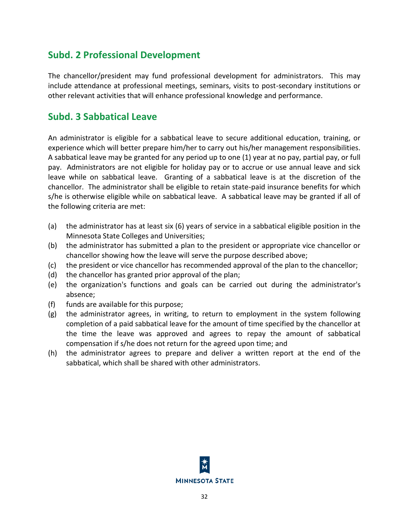## <span id="page-35-0"></span>**Subd. 2 Professional Development**

The chancellor/president may fund professional development for administrators. This may include attendance at professional meetings, seminars, visits to post-secondary institutions or other relevant activities that will enhance professional knowledge and performance.

### <span id="page-35-1"></span>**Subd. 3 Sabbatical Leave**

An administrator is eligible for a sabbatical leave to secure additional education, training, or experience which will better prepare him/her to carry out his/her management responsibilities. A sabbatical leave may be granted for any period up to one (1) year at no pay, partial pay, or full pay. Administrators are not eligible for holiday pay or to accrue or use annual leave and sick leave while on sabbatical leave. Granting of a sabbatical leave is at the discretion of the chancellor. The administrator shall be eligible to retain state-paid insurance benefits for which s/he is otherwise eligible while on sabbatical leave. A sabbatical leave may be granted if all of the following criteria are met:

- (a) the administrator has at least six (6) years of service in a sabbatical eligible position in the Minnesota State Colleges and Universities;
- (b) the administrator has submitted a plan to the president or appropriate vice chancellor or chancellor showing how the leave will serve the purpose described above;
- (c) the president or vice chancellor has recommended approval of the plan to the chancellor;
- (d) the chancellor has granted prior approval of the plan;
- (e) the organization's functions and goals can be carried out during the administrator's absence;
- (f) funds are available for this purpose;
- (g) the administrator agrees, in writing, to return to employment in the system following completion of a paid sabbatical leave for the amount of time specified by the chancellor at the time the leave was approved and agrees to repay the amount of sabbatical compensation if s/he does not return for the agreed upon time; and
- (h) the administrator agrees to prepare and deliver a written report at the end of the sabbatical, which shall be shared with other administrators.

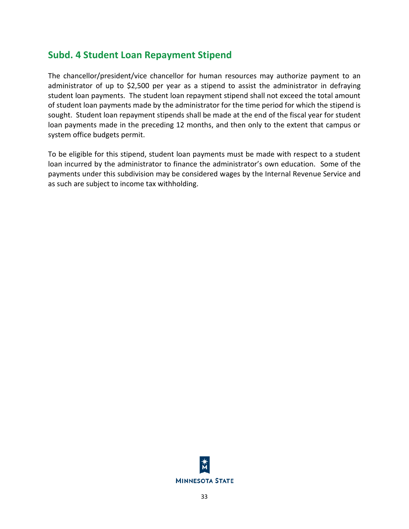# **Subd. 4 Student Loan Repayment Stipend**

The chancellor/president/vice chancellor for human resources may authorize payment to an administrator of up to \$2,500 per year as a stipend to assist the administrator in defraying student loan payments. The student loan repayment stipend shall not exceed the total amount of student loan payments made by the administrator for the time period for which the stipend is sought. Student loan repayment stipends shall be made at the end of the fiscal year for student loan payments made in the preceding 12 months, and then only to the extent that campus or system office budgets permit.

To be eligible for this stipend, student loan payments must be made with respect to a student loan incurred by the administrator to finance the administrator's own education. Some of the payments under this subdivision may be considered wages by the Internal Revenue Service and as such are subject to income tax withholding.

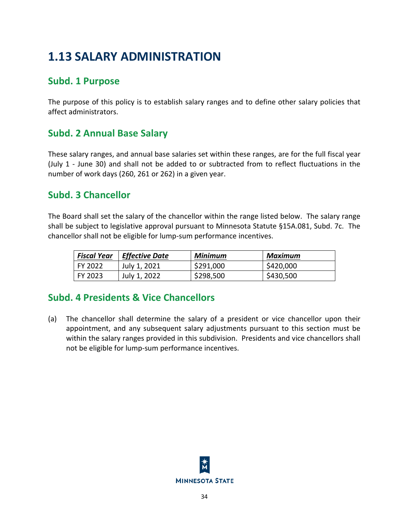# **1.13 SALARY ADMINISTRATION**

# **Subd. 1 Purpose**

The purpose of this policy is to establish salary ranges and to define other salary policies that affect administrators.

# **Subd. 2 Annual Base Salary**

These salary ranges, and annual base salaries set within these ranges, are for the full fiscal year (July 1 - June 30) and shall not be added to or subtracted from to reflect fluctuations in the number of work days (260, 261 or 262) in a given year.

# **Subd. 3 Chancellor**

The Board shall set the salary of the chancellor within the range listed below. The salary range shall be subject to legislative approval pursuant to Minnesota Statute §15A.081, Subd. 7c. The chancellor shall not be eligible for lump-sum performance incentives.

| Fiscal Year | $\mid$ Effective Date | Minimum   | Maximum   |
|-------------|-----------------------|-----------|-----------|
| l FY 2022   | July 1, 2021          | \$291,000 | \$420,000 |
| FY 2023     | July 1, 2022          | \$298,500 | \$430,500 |

# **Subd. 4 Presidents & Vice Chancellors**

(a) The chancellor shall determine the salary of a president or vice chancellor upon their appointment, and any subsequent salary adjustments pursuant to this section must be within the salary ranges provided in this subdivision. Presidents and vice chancellors shall not be eligible for lump-sum performance incentives.

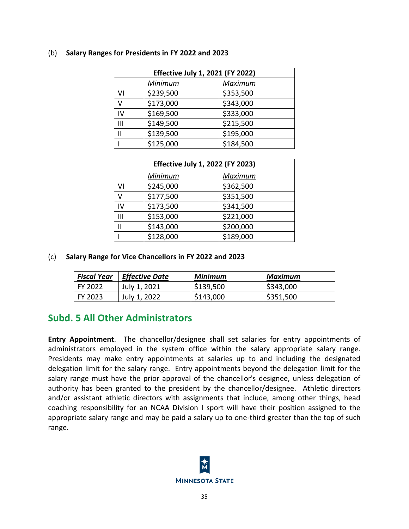| <b>Effective July 1, 2021 (FY 2022)</b> |           |           |  |  |
|-----------------------------------------|-----------|-----------|--|--|
|                                         | Minimum   | Maximum   |  |  |
| V١                                      | \$239,500 | \$353,500 |  |  |
| v                                       | \$173,000 | \$343,000 |  |  |
| IV                                      | \$169,500 | \$333,000 |  |  |
| Ш                                       | \$149,500 | \$215,500 |  |  |
|                                         | \$139,500 | \$195,000 |  |  |
|                                         | \$125,000 | \$184,500 |  |  |

#### (b) **Salary Ranges for Presidents in FY 2022 and 2023**

| <b>Effective July 1, 2022 (FY 2023)</b> |           |           |  |
|-----------------------------------------|-----------|-----------|--|
|                                         | Minimum   | Maximum   |  |
| VI                                      | \$245,000 | \$362,500 |  |
| ٧                                       | \$177,500 | \$351,500 |  |
| IV                                      | \$173,500 | \$341,500 |  |
| Ш                                       | \$153,000 | \$221,000 |  |
| Ш                                       | \$143,000 | \$200,000 |  |
|                                         | \$128,000 | \$189,000 |  |

## (c) **Salary Range for Vice Chancellors in FY 2022 and 2023**

| <b>Fiscal Year</b> | $\vert$ Effective Date | Minimum   | Maximum   |
|--------------------|------------------------|-----------|-----------|
| l FY 2022.         | July 1, 2021           | \$139,500 | \$343,000 |
| l FY 2023          | July 1, 2022           | \$143,000 | \$351,500 |

# **Subd. 5 All Other Administrators**

**Entry Appointment**. The chancellor/designee shall set salaries for entry appointments of administrators employed in the system office within the salary appropriate salary range. Presidents may make entry appointments at salaries up to and including the designated delegation limit for the salary range. Entry appointments beyond the delegation limit for the salary range must have the prior approval of the chancellor's designee, unless delegation of authority has been granted to the president by the chancellor/designee. Athletic directors and/or assistant athletic directors with assignments that include, among other things, head coaching responsibility for an NCAA Division I sport will have their position assigned to the appropriate salary range and may be paid a salary up to one-third greater than the top of such range.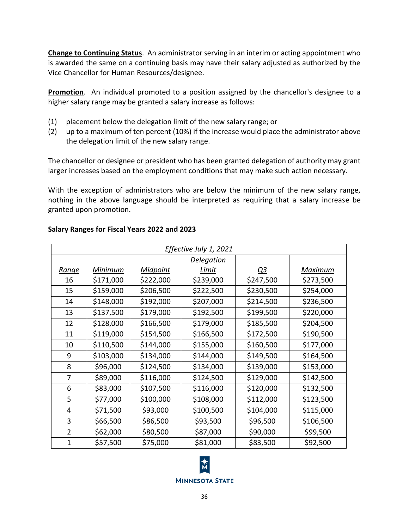**Change to Continuing Status**. An administrator serving in an interim or acting appointment who is awarded the same on a continuing basis may have their salary adjusted as authorized by the Vice Chancellor for Human Resources/designee.

**Promotion**. An individual promoted to a position assigned by the chancellor's designee to a higher salary range may be granted a salary increase as follows:

- (1) placement below the delegation limit of the new salary range; or
- (2) up to a maximum of ten percent (10%) if the increase would place the administrator above the delegation limit of the new salary range.

The chancellor or designee or president who has been granted delegation of authority may grant larger increases based on the employment conditions that may make such action necessary.

With the exception of administrators who are below the minimum of the new salary range, nothing in the above language should be interpreted as requiring that a salary increase be granted upon promotion.

| Effective July 1, 2021 |           |           |            |           |           |
|------------------------|-----------|-----------|------------|-----------|-----------|
|                        |           |           | Delegation |           |           |
| Range                  | Minimum   | Midpoint  | Limit      | Q3        | Maximum   |
| 16                     | \$171,000 | \$222,000 | \$239,000  | \$247,500 | \$273,500 |
| 15                     | \$159,000 | \$206,500 | \$222,500  | \$230,500 | \$254,000 |
| 14                     | \$148,000 | \$192,000 | \$207,000  | \$214,500 | \$236,500 |
| 13                     | \$137,500 | \$179,000 | \$192,500  | \$199,500 | \$220,000 |
| 12                     | \$128,000 | \$166,500 | \$179,000  | \$185,500 | \$204,500 |
| 11                     | \$119,000 | \$154,500 | \$166,500  | \$172,500 | \$190,500 |
| 10                     | \$110,500 | \$144,000 | \$155,000  | \$160,500 | \$177,000 |
| 9                      | \$103,000 | \$134,000 | \$144,000  | \$149,500 | \$164,500 |
| 8                      | \$96,000  | \$124,500 | \$134,000  | \$139,000 | \$153,000 |
| 7                      | \$89,000  | \$116,000 | \$124,500  | \$129,000 | \$142,500 |
| 6                      | \$83,000  | \$107,500 | \$116,000  | \$120,000 | \$132,500 |
| 5                      | \$77,000  | \$100,000 | \$108,000  | \$112,000 | \$123,500 |
| 4                      | \$71,500  | \$93,000  | \$100,500  | \$104,000 | \$115,000 |
| 3                      | \$66,500  | \$86,500  | \$93,500   | \$96,500  | \$106,500 |
| $\overline{2}$         | \$62,000  | \$80,500  | \$87,000   | \$90,000  | \$99,500  |
| 1                      | \$57,500  | \$75,000  | \$81,000   | \$83,500  | \$92,500  |

# **Salary Ranges for Fiscal Years 2022 and 2023**

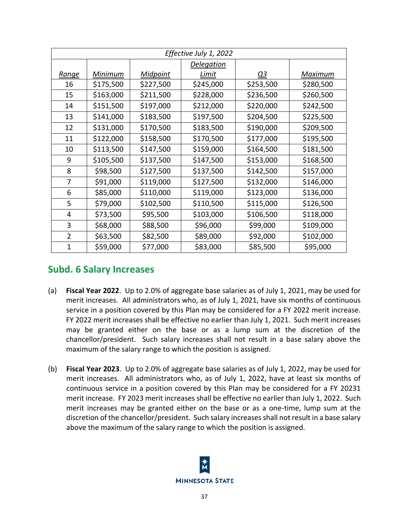| Effective July 1, 2022 |           |           |                   |           |           |
|------------------------|-----------|-----------|-------------------|-----------|-----------|
|                        |           |           | <u>Delegation</u> |           |           |
| <u>Range</u>           | Minimum   | Midpoint  | Limit             | <u>Q3</u> | Maximum   |
| 16                     | \$175,500 | \$227,500 | \$245,000         | \$253,500 | \$280,500 |
| 15                     | \$163,000 | \$211,500 | \$228,000         | \$236,500 | \$260,500 |
| 14                     | \$151,500 | \$197,000 | \$212,000         | \$220,000 | \$242,500 |
| 13                     | \$141,000 | \$183,500 | \$197,500         | \$204,500 | \$225,500 |
| 12                     | \$131,000 | \$170,500 | \$183,500         | \$190,000 | \$209,500 |
| 11                     | \$122,000 | \$158,500 | \$170,500         | \$177,000 | \$195,500 |
| 10                     | \$113,500 | \$147,500 | \$159,000         | \$164,500 | \$181,500 |
| 9                      | \$105,500 | \$137,500 | \$147,500         | \$153,000 | \$168,500 |
| 8                      | \$98,500  | \$127,500 | \$137,500         | \$142,500 | \$157,000 |
| 7                      | \$91,000  | \$119,000 | \$127,500         | \$132,000 | \$146,000 |
| 6                      | \$85,000  | \$110,000 | \$119,000         | \$123,000 | \$136,000 |
| 5                      | \$79,000  | \$102,500 | \$110,500         | \$115,000 | \$126,500 |
| 4                      | \$73,500  | \$95,500  | \$103,000         | \$106,500 | \$118,000 |
| 3                      | \$68,000  | \$88,500  | \$96,000          | \$99,000  | \$109,000 |
| $\overline{2}$         | \$63,500  | \$82,500  | \$89,000          | \$92,000  | \$102,000 |
| $\mathbf{1}$           | \$59,000  | \$77,000  | \$83,000          | \$85,500  | \$95,000  |

# **Subd. 6 Salary Increases**

- (a) **Fiscal Year 2022**. Up to 2.0% of aggregate base salaries as of July 1, 2021, may be used for merit increases. All administrators who, as of July 1, 2021, have six months of continuous service in a position covered by this Plan may be considered for a FY 2022 merit increase. FY 2022 merit increases shall be effective no earlier than July 1, 2021. Such merit increases may be granted either on the base or as a lump sum at the discretion of the chancellor/president. Such salary increases shall not result in a base salary above the maximum of the salary range to which the position is assigned.
- (b) **Fiscal Year 2023**. Up to 2.0% of aggregate base salaries as of July 1, 2022, may be used for merit increases. All administrators who, as of July 1, 2022, have at least six months of continuous service in a position covered by this Plan may be considered for a FY 20231 merit increase. FY 2023 merit increases shall be effective no earlier than July 1, 2022. Such merit increases may be granted either on the base or as a one-time, lump sum at the discretion of the chancellor/president. Such salary increases shall not result in a base salary above the maximum of the salary range to which the position is assigned.

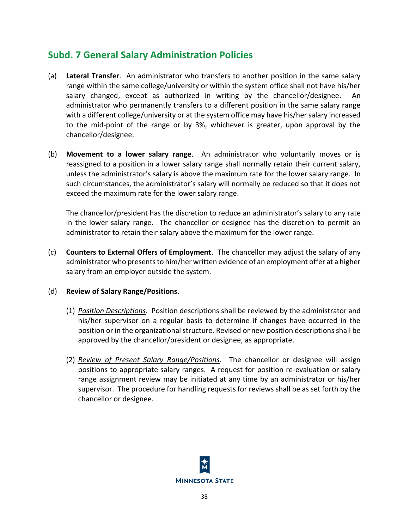# **Subd. 7 General Salary Administration Policies**

- (a) **Lateral Transfer**. An administrator who transfers to another position in the same salary range within the same college/university or within the system office shall not have his/her salary changed, except as authorized in writing by the chancellor/designee. An administrator who permanently transfers to a different position in the same salary range with a different college/university or at the system office may have his/her salary increased to the mid-point of the range or by 3%, whichever is greater, upon approval by the chancellor/designee.
- (b) **Movement to a lower salary range**. An administrator who voluntarily moves or is reassigned to a position in a lower salary range shall normally retain their current salary, unless the administrator's salary is above the maximum rate for the lower salary range. In such circumstances, the administrator's salary will normally be reduced so that it does not exceed the maximum rate for the lower salary range.

The chancellor/president has the discretion to reduce an administrator's salary to any rate in the lower salary range. The chancellor or designee has the discretion to permit an administrator to retain their salary above the maximum for the lower range.

(c) **Counters to External Offers of Employment**. The chancellor may adjust the salary of any administrator who presents to him/her written evidence of an employment offer at a higher salary from an employer outside the system.

## (d) **Review of Salary Range/Positions**.

- (1) *Position Descriptions.* Position descriptions shall be reviewed by the administrator and his/her supervisor on a regular basis to determine if changes have occurred in the position or in the organizational structure. Revised or new position descriptions shall be approved by the chancellor/president or designee, as appropriate.
- (2) *Review of Present Salary Range/Positions.* The chancellor or designee will assign positions to appropriate salary ranges. A request for position re-evaluation or salary range assignment review may be initiated at any time by an administrator or his/her supervisor. The procedure for handling requests for reviews shall be as set forth by the chancellor or designee.

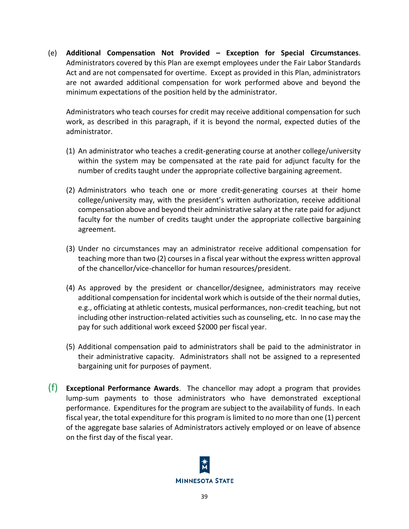(e) **Additional Compensation Not Provided – Exception for Special Circumstances**. Administrators covered by this Plan are exempt employees under the Fair Labor Standards Act and are not compensated for overtime. Except as provided in this Plan, administrators are not awarded additional compensation for work performed above and beyond the minimum expectations of the position held by the administrator.

Administrators who teach courses for credit may receive additional compensation for such work, as described in this paragraph, if it is beyond the normal, expected duties of the administrator.

- (1) An administrator who teaches a credit-generating course at another college/university within the system may be compensated at the rate paid for adjunct faculty for the number of credits taught under the appropriate collective bargaining agreement.
- (2) Administrators who teach one or more credit-generating courses at their home college/university may, with the president's written authorization, receive additional compensation above and beyond their administrative salary at the rate paid for adjunct faculty for the number of credits taught under the appropriate collective bargaining agreement.
- (3) Under no circumstances may an administrator receive additional compensation for teaching more than two (2) courses in a fiscal year without the express written approval of the chancellor/vice-chancellor for human resources/president.
- (4) As approved by the president or chancellor/designee, administrators may receive additional compensation for incidental work which is outside of the their normal duties, e.g., officiating at athletic contests, musical performances, non-credit teaching, but not including other instruction-related activities such as counseling, etc. In no case may the pay for such additional work exceed \$2000 per fiscal year.
- (5) Additional compensation paid to administrators shall be paid to the administrator in their administrative capacity. Administrators shall not be assigned to a represented bargaining unit for purposes of payment.
- (f) **Exceptional Performance Awards**. The chancellor may adopt a program that provides lump-sum payments to those administrators who have demonstrated exceptional performance. Expenditures for the program are subject to the availability of funds. In each fiscal year, the total expenditure for this program is limited to no more than one (1) percent of the aggregate base salaries of Administrators actively employed or on leave of absence on the first day of the fiscal year.

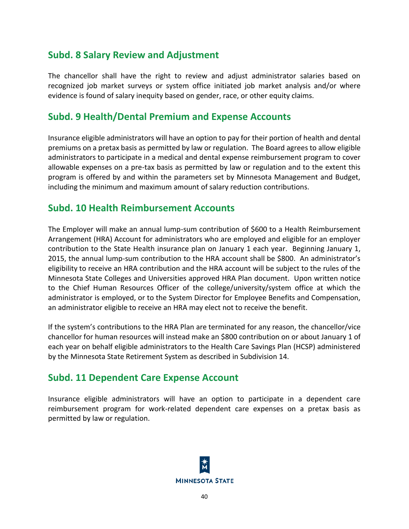# **Subd. 8 Salary Review and Adjustment**

The chancellor shall have the right to review and adjust administrator salaries based on recognized job market surveys or system office initiated job market analysis and/or where evidence is found of salary inequity based on gender, race, or other equity claims.

# **Subd. 9 Health/Dental Premium and Expense Accounts**

Insurance eligible administrators will have an option to pay for their portion of health and dental premiums on a pretax basis as permitted by law or regulation. The Board agrees to allow eligible administrators to participate in a medical and dental expense reimbursement program to cover allowable expenses on a pre-tax basis as permitted by law or regulation and to the extent this program is offered by and within the parameters set by Minnesota Management and Budget, including the minimum and maximum amount of salary reduction contributions.

# **Subd. 10 Health Reimbursement Accounts**

The Employer will make an annual lump-sum contribution of \$600 to a Health Reimbursement Arrangement (HRA) Account for administrators who are employed and eligible for an employer contribution to the State Health insurance plan on January 1 each year. Beginning January 1, 2015, the annual lump-sum contribution to the HRA account shall be \$800. An administrator's eligibility to receive an HRA contribution and the HRA account will be subject to the rules of the Minnesota State Colleges and Universities approved HRA Plan document. Upon written notice to the Chief Human Resources Officer of the college/university/system office at which the administrator is employed, or to the System Director for Employee Benefits and Compensation, an administrator eligible to receive an HRA may elect not to receive the benefit.

If the system's contributions to the HRA Plan are terminated for any reason, the chancellor/vice chancellor for human resources will instead make an \$800 contribution on or about January 1 of each year on behalf eligible administrators to the Health Care Savings Plan (HCSP) administered by the Minnesota State Retirement System as described in Subdivision 14.

# **Subd. 11 Dependent Care Expense Account**

Insurance eligible administrators will have an option to participate in a dependent care reimbursement program for work-related dependent care expenses on a pretax basis as permitted by law or regulation.

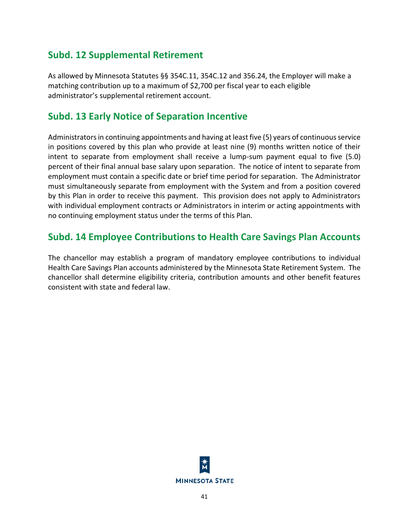# **Subd. 12 Supplemental Retirement**

As allowed by Minnesota Statutes §§ 354C.11, 354C.12 and 356.24, the Employer will make a matching contribution up to a maximum of \$2,700 per fiscal year to each eligible administrator's supplemental retirement account.

# **Subd. 13 Early Notice of Separation Incentive**

Administrators in continuing appointments and having at least five (5) years of continuous service in positions covered by this plan who provide at least nine (9) months written notice of their intent to separate from employment shall receive a lump-sum payment equal to five (5.0) percent of their final annual base salary upon separation. The notice of intent to separate from employment must contain a specific date or brief time period for separation. The Administrator must simultaneously separate from employment with the System and from a position covered by this Plan in order to receive this payment. This provision does not apply to Administrators with individual employment contracts or Administrators in interim or acting appointments with no continuing employment status under the terms of this Plan.

# **Subd. 14 Employee Contributions to Health Care Savings Plan Accounts**

The chancellor may establish a program of mandatory employee contributions to individual Health Care Savings Plan accounts administered by the Minnesota State Retirement System. The chancellor shall determine eligibility criteria, contribution amounts and other benefit features consistent with state and federal law.

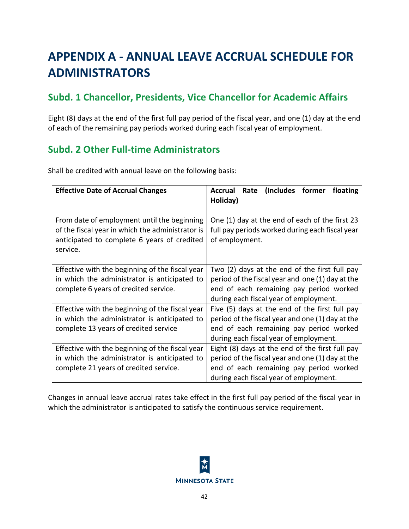# **APPENDIX A - ANNUAL LEAVE ACCRUAL SCHEDULE FOR ADMINISTRATORS**

# **Subd. 1 Chancellor, Presidents, Vice Chancellor for Academic Affairs**

Eight (8) days at the end of the first full pay period of the fiscal year, and one (1) day at the end of each of the remaining pay periods worked during each fiscal year of employment.

# **Subd. 2 Other Full-time Administrators**

Shall be credited with annual leave on the following basis:

| <b>Effective Date of Accrual Changes</b>                                                                                                                   | (Includes former<br>Accrual<br>Rate<br>floating<br>Holiday)                                                                                                                              |
|------------------------------------------------------------------------------------------------------------------------------------------------------------|------------------------------------------------------------------------------------------------------------------------------------------------------------------------------------------|
| From date of employment until the beginning<br>of the fiscal year in which the administrator is<br>anticipated to complete 6 years of credited<br>service. | One (1) day at the end of each of the first 23<br>full pay periods worked during each fiscal year<br>of employment.                                                                      |
| Effective with the beginning of the fiscal year<br>in which the administrator is anticipated to<br>complete 6 years of credited service.                   | Two (2) days at the end of the first full pay<br>period of the fiscal year and one (1) day at the<br>end of each remaining pay period worked<br>during each fiscal year of employment.   |
| Effective with the beginning of the fiscal year<br>in which the administrator is anticipated to<br>complete 13 years of credited service                   | Five (5) days at the end of the first full pay<br>period of the fiscal year and one (1) day at the<br>end of each remaining pay period worked<br>during each fiscal year of employment.  |
| Effective with the beginning of the fiscal year<br>in which the administrator is anticipated to<br>complete 21 years of credited service.                  | Eight (8) days at the end of the first full pay<br>period of the fiscal year and one (1) day at the<br>end of each remaining pay period worked<br>during each fiscal year of employment. |

Changes in annual leave accrual rates take effect in the first full pay period of the fiscal year in which the administrator is anticipated to satisfy the continuous service requirement.

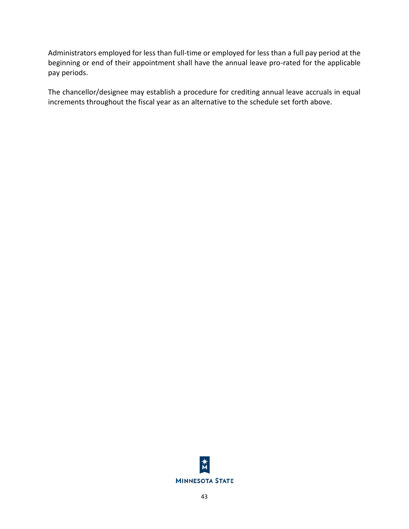Administrators employed for less than full-time or employed for less than a full pay period at the beginning or end of their appointment shall have the annual leave pro-rated for the applicable pay periods.

The chancellor/designee may establish a procedure for crediting annual leave accruals in equal increments throughout the fiscal year as an alternative to the schedule set forth above.

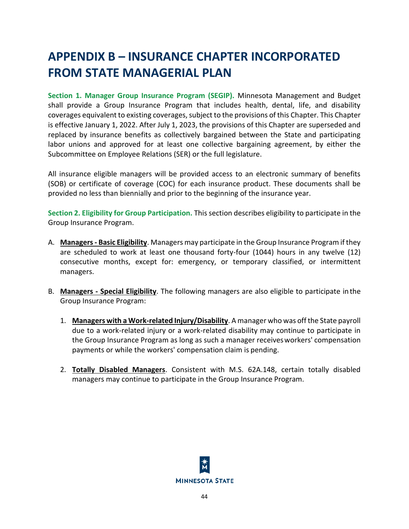# **APPENDIX B – INSURANCE CHAPTER INCORPORATED FROM STATE MANAGERIAL PLAN**

**Section 1. Manager Group Insurance Program (SEGIP).** Minnesota Management and Budget shall provide a Group Insurance Program that includes health, dental, life, and disability coverages equivalent to existing coverages, subject to the provisions of this Chapter. This Chapter is effective January 1, 2022. After July 1, 2023, the provisions of this Chapter are superseded and replaced by insurance benefits as collectively bargained between the State and participating labor unions and approved for at least one collective bargaining agreement, by either the Subcommittee on Employee Relations (SER) or the full legislature.

All insurance eligible managers will be provided access to an electronic summary of benefits (SOB) or certificate of coverage (COC) for each insurance product. These documents shall be provided no less than biennially and prior to the beginning of the insurance year.

**Section 2. Eligibility for Group Participation.** This section describes eligibility to participate in the Group Insurance Program.

- A. **Managers - Basic Eligibility**. Managers may participate in the Group Insurance Program if they are scheduled to work at least one thousand forty-four (1044) hours in any twelve (12) consecutive months, except for: emergency, or temporary classified, or intermittent managers.
- B. **Managers - Special Eligibility**. The following managers are also eligible to participate in the Group Insurance Program:
	- 1. **Managers with a Work-related Injury/Disability**. A manager who was off the State payroll due to a work-related injury or a work-related disability may continue to participate in the Group Insurance Program as long as such a manager receivesworkers' compensation payments or while the workers' compensation claim is pending.
	- 2. **Totally Disabled Managers**. Consistent with M.S. 62A.148, certain totally disabled managers may continue to participate in the Group Insurance Program.

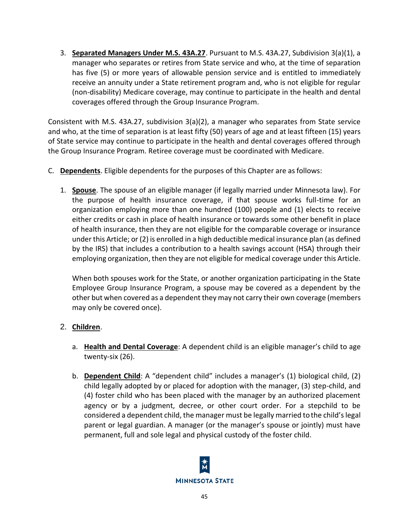3. **Separated Managers Under M.S. 43A.27**. Pursuant to M.S. 43A.27, Subdivision 3(a)(1), a manager who separates or retires from State service and who, at the time of separation has five (5) or more years of allowable pension service and is entitled to immediately receive an annuity under a State retirement program and, who is not eligible for regular (non-disability) Medicare coverage, may continue to participate in the health and dental coverages offered through the Group Insurance Program.

Consistent with M.S. 43A.27, subdivision 3(a)(2), a manager who separates from State service and who, at the time of separation is at least fifty (50) years of age and at least fifteen (15) years of State service may continue to participate in the health and dental coverages offered through the Group Insurance Program. Retiree coverage must be coordinated with Medicare.

- C. **Dependents**. Eligible dependents for the purposes of this Chapter are asfollows:
	- 1. **Spouse**. The spouse of an eligible manager (if legally married under Minnesota law). For the purpose of health insurance coverage, if that spouse works full-time for an organization employing more than one hundred (100) people and (1) elects to receive either credits or cash in place of health insurance or towards some other benefit in place of health insurance, then they are not eligible for the comparable coverage or insurance under this Article; or (2) is enrolled in a high deductible medical insurance plan (as defined by the IRS) that includes a contribution to a health savings account (HSA) through their employing organization, then they are not eligible for medical coverage under this Article.

When both spouses work for the State, or another organization participating in the State Employee Group Insurance Program, a spouse may be covered as a dependent by the other but when covered as a dependent they may not carry their own coverage (members may only be covered once).

# 2. **Children**.

- a. **Health and Dental Coverage**: A dependent child is an eligible manager's child to age twenty-six (26).
- b. **Dependent Child**: A "dependent child" includes a manager's (1) biological child, (2) child legally adopted by or placed for adoption with the manager, (3) step-child, and (4) foster child who has been placed with the manager by an authorized placement agency or by a judgment, decree, or other court order. For a stepchild to be considered a dependent child, the manager must be legally married tothe child's legal parent or legal guardian. A manager (or the manager's spouse or jointly) must have permanent, full and sole legal and physical custody of the foster child.

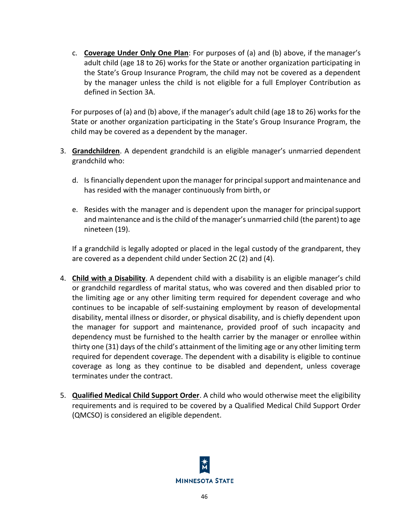c. **Coverage Under Only One Plan**: For purposes of (a) and (b) above, if the manager's adult child (age 18 to 26) works for the State or another organization participating in the State's Group Insurance Program, the child may not be covered as a dependent by the manager unless the child is not eligible for a full Employer Contribution as defined in Section 3A.

For purposes of (a) and (b) above, if the manager's adult child (age 18 to 26) works for the State or another organization participating in the State's Group Insurance Program, the child may be covered as a dependent by the manager.

- 3. **Grandchildren**. A dependent grandchild is an eligible manager's unmarried dependent grandchild who:
	- d. Is financially dependent upon the manager for principal support andmaintenance and has resided with the manager continuously from birth, or
	- e. Resides with the manager and is dependent upon the manager for principalsupport and maintenance and is the child of the manager's unmarried child (the parent) to age nineteen (19).

If a grandchild is legally adopted or placed in the legal custody of the grandparent, they are covered as a dependent child under Section 2C (2) and (4).

- 4. **Child with a Disability**. A dependent child with a disability is an eligible manager's child or grandchild regardless of marital status, who was covered and then disabled prior to the limiting age or any other limiting term required for dependent coverage and who continues to be incapable of self-sustaining employment by reason of developmental disability, mental illness or disorder, or physical disability, and is chiefly dependent upon the manager for support and maintenance, provided proof of such incapacity and dependency must be furnished to the health carrier by the manager or enrollee within thirty one (31) days of the child's attainment of the limiting age or any other limiting term required for dependent coverage. The dependent with a disability is eligible to continue coverage as long as they continue to be disabled and dependent, unless coverage terminates under the contract.
- 5. **Qualified Medical Child Support Order**. A child who would otherwise meet the eligibility requirements and is required to be covered by a Qualified Medical Child Support Order (QMCSO) is considered an eligible dependent.

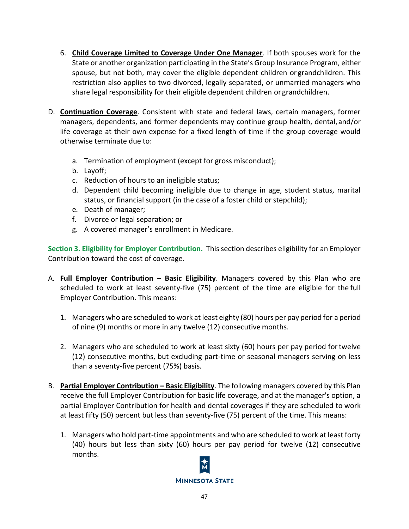- 6. **Child Coverage Limited to Coverage Under One Manager**. If both spouses work for the State or another organization participating in the State's Group Insurance Program, either spouse, but not both, may cover the eligible dependent children or grandchildren. This restriction also applies to two divorced, legally separated, or unmarried managers who share legal responsibility for their eligible dependent children or grandchildren.
- D. **Continuation Coverage**. Consistent with state and federal laws, certain managers, former managers, dependents, and former dependents may continue group health, dental,and/or life coverage at their own expense for a fixed length of time if the group coverage would otherwise terminate due to:
	- a. Termination of employment (except for gross misconduct);
	- b. Layoff;
	- c. Reduction of hours to an ineligible status;
	- d. Dependent child becoming ineligible due to change in age, student status, marital status, or financial support (in the case of a foster child or stepchild);
	- e. Death of manager;
	- f. Divorce or legal separation; or
	- g. A covered manager's enrollment in Medicare.

**Section 3. Eligibility for Employer Contribution.** This section describes eligibility for an Employer Contribution toward the cost of coverage.

- A. **Full Employer Contribution – Basic Eligibility**. Managers covered by this Plan who are scheduled to work at least seventy-five (75) percent of the time are eligible for the full Employer Contribution. This means:
	- 1. Managers who are scheduled to work at least eighty (80) hours per pay period for a period of nine (9) months or more in any twelve (12) consecutive months.
	- 2. Managers who are scheduled to work at least sixty (60) hours per pay period fortwelve (12) consecutive months, but excluding part-time or seasonal managers serving on less than a seventy-five percent (75%) basis.
- B. **Partial Employer Contribution – Basic Eligibility**. The following managers covered by this Plan receive the full Employer Contribution for basic life coverage, and at the manager's option, a partial Employer Contribution for health and dental coverages if they are scheduled to work at least fifty (50) percent but less than seventy-five (75) percent of the time. This means:
	- 1. Managers who hold part-time appointments and who are scheduled to work at least forty (40) hours but less than sixty (60) hours per pay period for twelve (12) consecutive months.

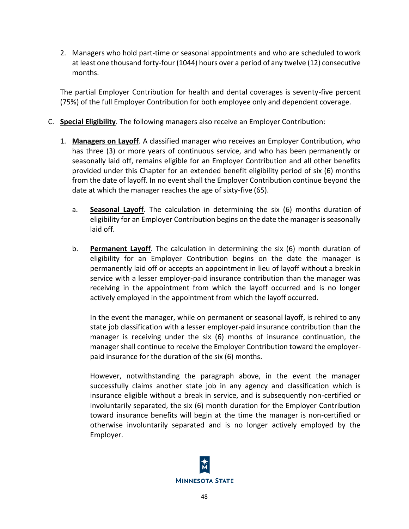2. Managers who hold part-time or seasonal appointments and who are scheduled towork at least one thousand forty-four (1044) hours over a period of any twelve (12) consecutive months.

The partial Employer Contribution for health and dental coverages is seventy-five percent (75%) of the full Employer Contribution for both employee only and dependent coverage.

- C. **Special Eligibility**. The following managers also receive an Employer Contribution:
	- 1. **Managers on Layoff**. A classified manager who receives an Employer Contribution, who has three (3) or more years of continuous service, and who has been permanently or seasonally laid off, remains eligible for an Employer Contribution and all other benefits provided under this Chapter for an extended benefit eligibility period of six (6) months from the date of layoff. In no event shall the Employer Contribution continue beyond the date at which the manager reaches the age of sixty-five (65).
		- a. **Seasonal Layoff**. The calculation in determining the six (6) months duration of eligibility for an Employer Contribution begins on the date the manager is seasonally laid off.
		- b. **Permanent Layoff**. The calculation in determining the six (6) month duration of eligibility for an Employer Contribution begins on the date the manager is permanently laid off or accepts an appointment in lieu of layoff without a break in service with a lesser employer-paid insurance contribution than the manager was receiving in the appointment from which the layoff occurred and is no longer actively employed in the appointment from which the layoff occurred.

In the event the manager, while on permanent or seasonal layoff, is rehired to any state job classification with a lesser employer-paid insurance contribution than the manager is receiving under the six (6) months of insurance continuation, the manager shall continue to receive the Employer Contribution toward the employerpaid insurance for the duration of the six (6) months.

However, notwithstanding the paragraph above, in the event the manager successfully claims another state job in any agency and classification which is insurance eligible without a break in service, and is subsequently non-certified or involuntarily separated, the six (6) month duration for the Employer Contribution toward insurance benefits will begin at the time the manager is non-certified or otherwise involuntarily separated and is no longer actively employed by the Employer.

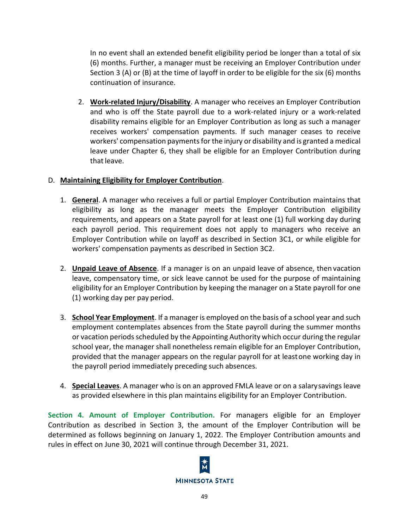In no event shall an extended benefit eligibility period be longer than a total of six (6) months. Further, a manager must be receiving an Employer Contribution under Section 3 (A) or (B) at the time of layoff in order to be eligible for the six (6) months continuation of insurance.

2. **Work-related Injury/Disability**. A manager who receives an Employer Contribution and who is off the State payroll due to a work-related injury or a work-related disability remains eligible for an Employer Contribution as long as such a manager receives workers' compensation payments. If such manager ceases to receive workers' compensation payments for the injury or disability and is granted a medical leave under Chapter 6, they shall be eligible for an Employer Contribution during that leave.

## D. **Maintaining Eligibility for Employer Contribution**.

- 1. **General**. A manager who receives a full or partial Employer Contribution maintains that eligibility as long as the manager meets the Employer Contribution eligibility requirements, and appears on a State payroll for at least one (1) full working day during each payroll period. This requirement does not apply to managers who receive an Employer Contribution while on layoff as described in Section 3C1, or while eligible for workers' compensation payments as described in Section 3C2.
- 2. **Unpaid Leave of Absence**. If a manager is on an unpaid leave of absence, then vacation leave, compensatory time, or sick leave cannot be used for the purpose of maintaining eligibility for an Employer Contribution by keeping the manager on a State payroll for one (1) working day per pay period.
- 3. **School Year Employment**. If a manager is employed on the basis of a school year and such employment contemplates absences from the State payroll during the summer months or vacation periods scheduled by the Appointing Authority which occur during the regular school year, the manager shall nonetheless remain eligible for an Employer Contribution, provided that the manager appears on the regular payroll for at leastone working day in the payroll period immediately preceding such absences.
- 4. **Special Leaves**. A manager who is on an approved FMLA leave or on a salarysavings leave as provided elsewhere in this plan maintains eligibility for an Employer Contribution.

**Section 4. Amount of Employer Contribution.** For managers eligible for an Employer Contribution as described in Section 3, the amount of the Employer Contribution will be determined as follows beginning on January 1, 2022. The Employer Contribution amounts and rules in effect on June 30, 2021 will continue through December 31, 2021.

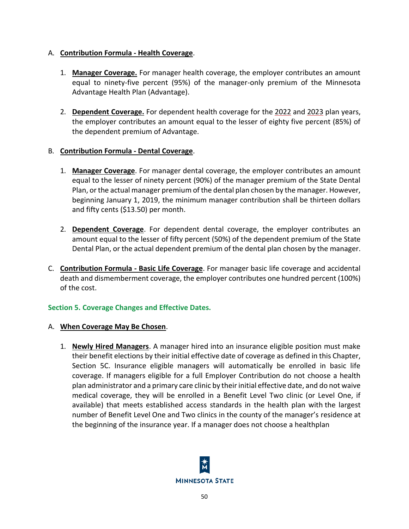## A. **Contribution Formula - Health Coverage**.

- 1. **Manager Coverage.** For manager health coverage, the employer contributes an amount equal to ninety-five percent (95%) of the manager-only premium of the Minnesota Advantage Health Plan (Advantage).
- 2. **Dependent Coverage.** For dependent health coverage for the 2022 and 2023 plan years, the employer contributes an amount equal to the lesser of eighty five percent (85%) of the dependent premium of Advantage.

## B. **Contribution Formula - Dental Coverage**.

- 1. **Manager Coverage**. For manager dental coverage, the employer contributes an amount equal to the lesser of ninety percent (90%) of the manager premium of the State Dental Plan, or the actual manager premium of the dental plan chosen by the manager. However, beginning January 1, 2019, the minimum manager contribution shall be thirteen dollars and fifty cents (\$13.50) per month.
- 2. **Dependent Coverage**. For dependent dental coverage, the employer contributes an amount equal to the lesser of fifty percent (50%) of the dependent premium of the State Dental Plan, or the actual dependent premium of the dental plan chosen by the manager.
- C. **Contribution Formula - Basic Life Coverage**. For manager basic life coverage and accidental death and dismemberment coverage, the employer contributes one hundred percent (100%) of the cost.

## **Section 5. Coverage Changes and Effective Dates.**

## A. **When Coverage May Be Chosen**.

1. **Newly Hired Managers**. A manager hired into an insurance eligible position must make their benefit elections by their initial effective date of coverage as defined in this Chapter, Section 5C. Insurance eligible managers will automatically be enrolled in basic life coverage. If managers eligible for a full Employer Contribution do not choose a health plan administrator and a primary care clinic by their initial effective date, and do not waive medical coverage, they will be enrolled in a Benefit Level Two clinic (or Level One, if available) that meets established access standards in the health plan with the largest number of Benefit Level One and Two clinics in the county of the manager's residence at the beginning of the insurance year. If a manager does not choose a healthplan

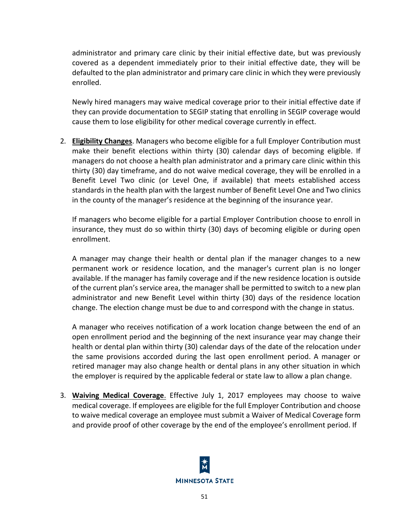administrator and primary care clinic by their initial effective date, but was previously covered as a dependent immediately prior to their initial effective date, they will be defaulted to the plan administrator and primary care clinic in which they were previously enrolled.

Newly hired managers may waive medical coverage prior to their initial effective date if they can provide documentation to SEGIP stating that enrolling in SEGIP coverage would cause them to lose eligibility for other medical coverage currently in effect.

2. **Eligibility Changes**. Managers who become eligible for a full Employer Contribution must make their benefit elections within thirty (30) calendar days of becoming eligible. If managers do not choose a health plan administrator and a primary care clinic within this thirty (30) day timeframe, and do not waive medical coverage, they will be enrolled in a Benefit Level Two clinic (or Level One, if available) that meets established access standards in the health plan with the largest number of Benefit Level One and Two clinics in the county of the manager's residence at the beginning of the insurance year.

If managers who become eligible for a partial Employer Contribution choose to enroll in insurance, they must do so within thirty (30) days of becoming eligible or during open enrollment.

A manager may change their health or dental plan if the manager changes to a new permanent work or residence location, and the manager's current plan is no longer available. If the manager has family coverage and if the new residence location is outside of the current plan's service area, the manager shall be permitted to switch to a new plan administrator and new Benefit Level within thirty (30) days of the residence location change. The election change must be due to and correspond with the change in status.

A manager who receives notification of a work location change between the end of an open enrollment period and the beginning of the next insurance year may change their health or dental plan within thirty (30) calendar days of the date of the relocation under the same provisions accorded during the last open enrollment period. A manager or retired manager may also change health or dental plans in any other situation in which the employer is required by the applicable federal or state law to allow a plan change.

3. **Waiving Medical Coverage**. Effective July 1, 2017 employees may choose to waive medical coverage. If employees are eligible for the full Employer Contribution and choose to waive medical coverage an employee must submit a Waiver of Medical Coverage form and provide proof of other coverage by the end of the employee's enrollment period. If

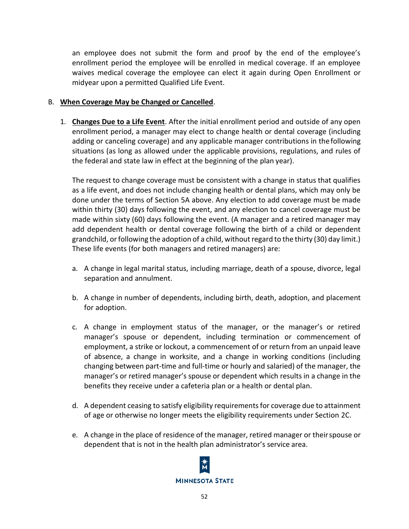an employee does not submit the form and proof by the end of the employee's enrollment period the employee will be enrolled in medical coverage. If an employee waives medical coverage the employee can elect it again during Open Enrollment or midyear upon a permitted Qualified Life Event.

## B. **When Coverage May be Changed or Cancelled**.

1. **Changes Due to a Life Event**. After the initial enrollment period and outside of any open enrollment period, a manager may elect to change health or dental coverage (including adding or canceling coverage) and any applicable manager contributions in the following situations (as long as allowed under the applicable provisions, regulations, and rules of the federal and state law in effect at the beginning of the plan year).

The request to change coverage must be consistent with a change in status that qualifies as a life event, and does not include changing health or dental plans, which may only be done under the terms of Section 5A above. Any election to add coverage must be made within thirty (30) days following the event, and any election to cancel coverage must be made within sixty (60) days following the event. (A manager and a retired manager may add dependent health or dental coverage following the birth of a child or dependent grandchild, or following the adoption of a child, without regard to the thirty (30) day limit.) These life events (for both managers and retired managers) are:

- a. A change in legal marital status, including marriage, death of a spouse, divorce, legal separation and annulment.
- b. A change in number of dependents, including birth, death, adoption, and placement for adoption.
- c. A change in employment status of the manager, or the manager's or retired manager's spouse or dependent, including termination or commencement of employment, a strike or lockout, a commencement of or return from an unpaid leave of absence, a change in worksite, and a change in working conditions (including changing between part-time and full-time or hourly and salaried) of the manager, the manager's or retired manager's spouse or dependent which results in a change in the benefits they receive under a cafeteria plan or a health or dental plan.
- d. A dependent ceasing to satisfy eligibility requirements for coverage due to attainment of age or otherwise no longer meets the eligibility requirements under Section 2C.
- e. A change in the place of residence of the manager, retired manager or theirspouse or dependent that is not in the health plan administrator's service area.

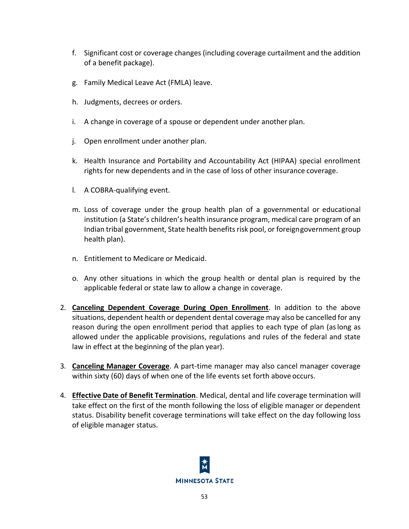- f. Significant cost or coverage changes (including coverage curtailment and the addition of a benefit package).
- g. Family Medical Leave Act (FMLA) leave.
- h. Judgments, decrees or orders.
- i. A change in coverage of a spouse or dependent under another plan.
- j. Open enrollment under another plan.
- k. Health Insurance and Portability and Accountability Act (HIPAA) special enrollment rights for new dependents and in the case of loss of other insurance coverage.
- l. A COBRA-qualifying event.
- m. Loss of coverage under the group health plan of a governmental or educational institution (a State's children's health insurance program, medical care program of an Indian tribal government, State health benefits risk pool, or foreigngovernment group health plan).
- n. Entitlement to Medicare or Medicaid.
- o. Any other situations in which the group health or dental plan is required by the applicable federal or state law to allow a change in coverage.
- 2. **Canceling Dependent Coverage During Open Enrollment**. In addition to the above situations, dependent health or dependent dental coverage may also be cancelled for any reason during the open enrollment period that applies to each type of plan (aslong as allowed under the applicable provisions, regulations and rules of the federal and state law in effect at the beginning of the plan year).
- 3. **Canceling Manager Coverage**. A part-time manager may also cancel manager coverage within sixty (60) days of when one of the life events set forth above occurs.
- 4. **Effective Date of Benefit Termination**. Medical, dental and life coverage termination will take effect on the first of the month following the loss of eligible manager or dependent status. Disability benefit coverage terminations will take effect on the day following loss of eligible manager status.

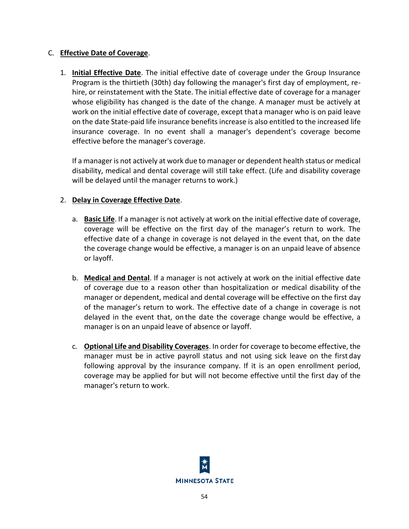## C. **Effective Date of Coverage**.

1. **Initial Effective Date**. The initial effective date of coverage under the Group Insurance Program is the thirtieth (30th) day following the manager's first day of employment, rehire, or reinstatement with the State. The initial effective date of coverage for a manager whose eligibility has changed is the date of the change. A manager must be actively at work on the initial effective date of coverage, except thata manager who is on paid leave on the date State-paid life insurance benefits increase is also entitled to the increased life insurance coverage. In no event shall a manager's dependent's coverage become effective before the manager's coverage.

If a manager is not actively at work due to manager or dependent health status or medical disability, medical and dental coverage will still take effect. (Life and disability coverage will be delayed until the manager returns to work.)

## 2. **Delay in Coverage Effective Date**.

- a. **Basic Life**. If a manager is not actively at work on the initial effective date of coverage, coverage will be effective on the first day of the manager's return to work. The effective date of a change in coverage is not delayed in the event that, on the date the coverage change would be effective, a manager is on an unpaid leave of absence or layoff.
- b. **Medical and Dental**. If a manager is not actively at work on the initial effective date of coverage due to a reason other than hospitalization or medical disability of the manager or dependent, medical and dental coverage will be effective on the first day of the manager's return to work. The effective date of a change in coverage is not delayed in the event that, on the date the coverage change would be effective, a manager is on an unpaid leave of absence or layoff.
- c. **Optional Life and Disability Coverages**. In order for coverage to become effective, the manager must be in active payroll status and not using sick leave on the first day following approval by the insurance company. If it is an open enrollment period, coverage may be applied for but will not become effective until the first day of the manager's return to work.

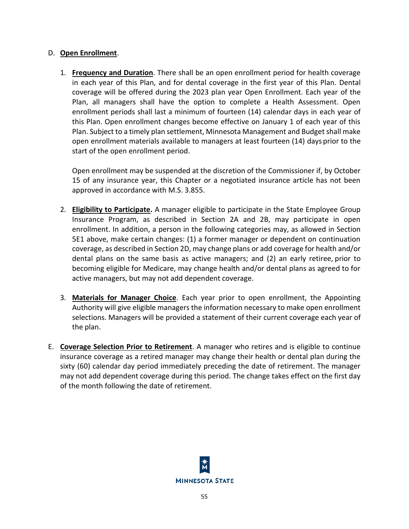## D. **Open Enrollment**.

1. **Frequency and Duration**. There shall be an open enrollment period for health coverage in each year of this Plan, and for dental coverage in the first year of this Plan. Dental coverage will be offered during the 2023 plan year Open Enrollment. Each year of the Plan, all managers shall have the option to complete a Health Assessment. Open enrollment periods shall last a minimum of fourteen (14) calendar days in each year of this Plan. Open enrollment changes become effective on January 1 of each year of this Plan. Subject to a timely plan settlement, Minnesota Management and Budget shall make open enrollment materials available to managers at least fourteen (14) days prior to the start of the open enrollment period.

Open enrollment may be suspended at the discretion of the Commissioner if, by October 15 of any insurance year, this Chapter or a negotiated insurance article has not been approved in accordance with M.S. 3.855.

- 2. **Eligibility to Participate.** A manager eligible to participate in the State Employee Group Insurance Program, as described in Section 2A and 2B, may participate in open enrollment. In addition, a person in the following categories may, as allowed in Section 5E1 above, make certain changes: (1) a former manager or dependent on continuation coverage, as described in Section 2D, may change plans or add coverage for health and/or dental plans on the same basis as active managers; and (2) an early retiree, prior to becoming eligible for Medicare, may change health and/or dental plans as agreed to for active managers, but may not add dependent coverage.
- 3. **Materials for Manager Choice**. Each year prior to open enrollment, the Appointing Authority will give eligible managers the information necessary to make open enrollment selections. Managers will be provided a statement of their current coverage each year of the plan.
- E. **Coverage Selection Prior to Retirement**. A manager who retires and is eligible to continue insurance coverage as a retired manager may change their health or dental plan during the sixty (60) calendar day period immediately preceding the date of retirement. The manager may not add dependent coverage during this period. The change takes effect on the first day of the month following the date of retirement.

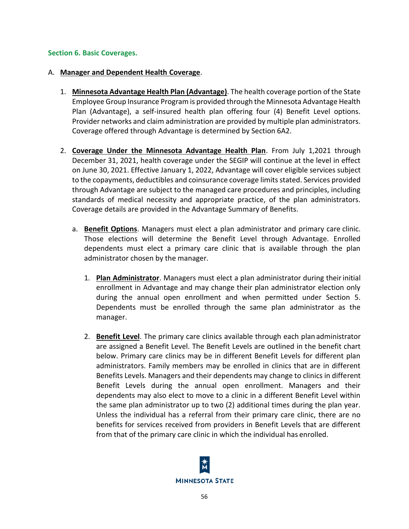#### **Section 6. Basic Coverages.**

#### A. **Manager and Dependent Health Coverage**.

- 1. **Minnesota Advantage Health Plan (Advantage)**. The health coverage portion of the State Employee Group Insurance Program is provided through the Minnesota Advantage Health Plan (Advantage), a self-insured health plan offering four (4) Benefit Level options. Provider networks and claim administration are provided by multiple plan administrators. Coverage offered through Advantage is determined by Section 6A2.
- 2. **Coverage Under the Minnesota Advantage Health Plan**. From July 1,2021 through December 31, 2021, health coverage under the SEGIP will continue at the level in effect on June 30, 2021. Effective January 1, 2022, Advantage will cover eligible services subject to the copayments, deductibles and coinsurance coverage limits stated. Services provided through Advantage are subject to the managed care procedures and principles, including standards of medical necessity and appropriate practice, of the plan administrators. Coverage details are provided in the Advantage Summary of Benefits.
	- a. **Benefit Options**. Managers must elect a plan administrator and primary care clinic. Those elections will determine the Benefit Level through Advantage. Enrolled dependents must elect a primary care clinic that is available through the plan administrator chosen by the manager.
		- 1. **Plan Administrator**. Managers must elect a plan administrator during theirinitial enrollment in Advantage and may change their plan administrator election only during the annual open enrollment and when permitted under Section 5. Dependents must be enrolled through the same plan administrator as the manager.
		- 2. **Benefit Level**. The primary care clinics available through each plan administrator are assigned a Benefit Level. The Benefit Levels are outlined in the benefit chart below. Primary care clinics may be in different Benefit Levels for different plan administrators. Family members may be enrolled in clinics that are in different Benefits Levels. Managers and their dependents may change to clinics in different Benefit Levels during the annual open enrollment. Managers and their dependents may also elect to move to a clinic in a different Benefit Level within the same plan administrator up to two (2) additional times during the plan year. Unless the individual has a referral from their primary care clinic, there are no benefits for services received from providers in Benefit Levels that are different from that of the primary care clinic in which the individual has enrolled.

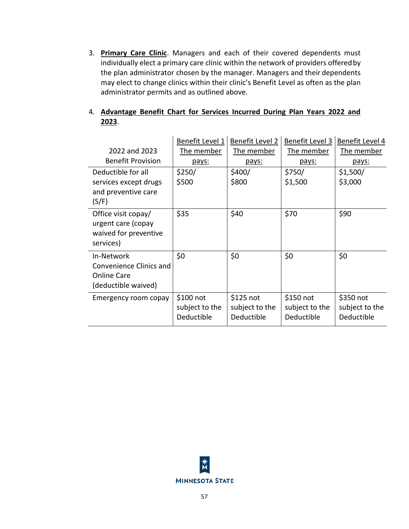3. **Primary Care Clinic**. Managers and each of their covered dependents must individually elect a primary care clinic within the network of providers offeredby the plan administrator chosen by the manager. Managers and their dependents may elect to change clinics within their clinic's Benefit Level as often as the plan administrator permits and as outlined above.

## 4. **Advantage Benefit Chart for Services Incurred During Plan Years 2022 and 2023**.

| 2022 and 2023<br><b>Benefit Provision</b>                                       | Benefit Level 1<br>The member<br>pays:     | Benefit Level 2<br>The member<br>pays:    | Benefit Level 3<br>The member<br>pays:     | Benefit Level 4<br>The member<br>pays:    |
|---------------------------------------------------------------------------------|--------------------------------------------|-------------------------------------------|--------------------------------------------|-------------------------------------------|
| Deductible for all<br>services except drugs<br>and preventive care<br>(S/F)     | \$250/<br>\$500                            | \$400/<br>\$800                           | \$750/<br>\$1,500                          | \$1,500/<br>\$3,000                       |
| Office visit copay/<br>urgent care (copay<br>waived for preventive<br>services) | \$35                                       | \$40                                      | \$70                                       | \$90                                      |
| In-Network<br>Convenience Clinics and<br>Online Care<br>(deductible waived)     | \$0                                        | \$0                                       | \$0                                        | \$0                                       |
| Emergency room copay                                                            | $$100$ not<br>subject to the<br>Deductible | \$125 not<br>subject to the<br>Deductible | $$150$ not<br>subject to the<br>Deductible | \$350 not<br>subject to the<br>Deductible |

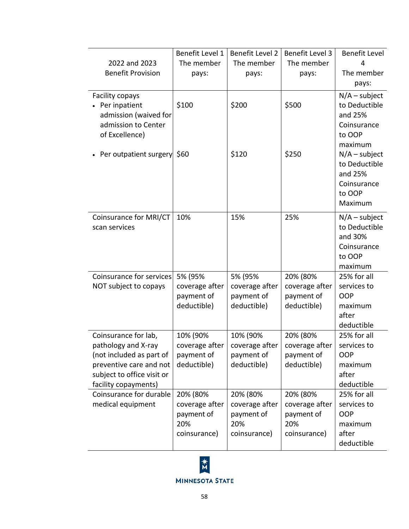|                                                       | Benefit Level 1 | Benefit Level 2                 | Benefit Level 3 | Benefit Level                    |
|-------------------------------------------------------|-----------------|---------------------------------|-----------------|----------------------------------|
| 2022 and 2023                                         | The member      | The member                      | The member      | 4                                |
| <b>Benefit Provision</b>                              | pays:           | pays:                           | pays:           | The member                       |
|                                                       |                 |                                 |                 | pays:                            |
| Facility copays                                       |                 |                                 |                 | $N/A$ – subject                  |
| Per inpatient                                         | \$100           | \$200                           | \$500           | to Deductible                    |
| admission (waived for                                 |                 |                                 |                 | and 25%                          |
| admission to Center                                   |                 |                                 |                 | Coinsurance                      |
| of Excellence)                                        |                 |                                 |                 | to OOP                           |
|                                                       |                 |                                 |                 | maximum                          |
| Per outpatient surgery                                | \$60            | \$120                           | \$250           | $N/A$ – subject                  |
|                                                       |                 |                                 |                 | to Deductible                    |
|                                                       |                 |                                 |                 | and 25%<br>Coinsurance           |
|                                                       |                 |                                 |                 | to OOP                           |
|                                                       |                 |                                 |                 | Maximum                          |
|                                                       |                 |                                 |                 |                                  |
| Coinsurance for MRI/CT<br>scan services               | 10%             | 15%                             | 25%             | $N/A$ – subject<br>to Deductible |
|                                                       |                 |                                 |                 | and 30%                          |
|                                                       |                 |                                 |                 | Coinsurance                      |
|                                                       |                 |                                 |                 | to OOP                           |
|                                                       |                 |                                 |                 | maximum                          |
| Coinsurance for services                              | 5% (95%         | 5% (95%                         | 20% (80%        | 25% for all                      |
| NOT subject to copays                                 | coverage after  | coverage after                  | coverage after  | services to                      |
|                                                       | payment of      | payment of                      | payment of      | <b>OOP</b>                       |
|                                                       | deductible)     | deductible)                     | deductible)     | maximum                          |
|                                                       |                 |                                 |                 | after                            |
|                                                       |                 |                                 |                 | deductible                       |
| Coinsurance for lab,                                  | 10% (90%        | 10% (90%                        | 20% (80%        | 25% for all                      |
| pathology and X-ray                                   |                 | coverage after   coverage after | coverage after  | services to                      |
| (not included as part of                              | payment of      | payment of                      | payment of      | <b>OOP</b>                       |
| preventive care and not<br>subject to office visit or | deductible)     | deductible)                     | deductible)     | maximum<br>after                 |
| facility copayments)                                  |                 |                                 |                 | deductible                       |
| Coinsurance for durable                               | 20% (80%        | 20% (80%                        | 20% (80%        | 25% for all                      |
| medical equipment                                     | coverage after  | coverage after                  | coverage after  | services to                      |
|                                                       | payment of      | payment of                      | payment of      | <b>OOP</b>                       |
|                                                       | 20%             | 20%                             | 20%             | maximum                          |
|                                                       | coinsurance)    | coinsurance)                    | coinsurance)    | after                            |
|                                                       |                 |                                 |                 | deductible                       |

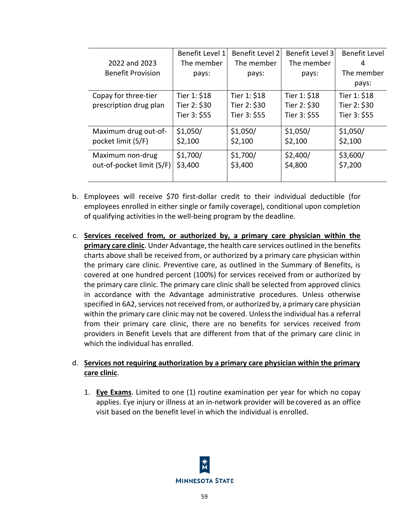|                           | Benefit Level 1 | Benefit Level 2 | Benefit Level 3 | Benefit Level |
|---------------------------|-----------------|-----------------|-----------------|---------------|
| 2022 and 2023             | The member      | The member      | The member      | 4             |
| <b>Benefit Provision</b>  | pays:           | pays:           | pays:           | The member    |
|                           |                 |                 |                 | pays:         |
| Copay for three-tier      | Tier 1: \$18    | Tier 1: \$18    | Tier 1: \$18    | Tier 1: \$18  |
| prescription drug plan    | Tier 2: \$30    | Tier 2: \$30    | Tier 2: \$30    | Tier 2: \$30  |
|                           | Tier 3: \$55    | Tier 3: \$55    | Tier 3: \$55    | Tier 3: \$55  |
| Maximum drug out-of-      | \$1,050/        | \$1,050/        | \$1,050/        | \$1,050/      |
| pocket limit (S/F)        | \$2,100         | \$2,100         | \$2,100         | \$2,100       |
| Maximum non-drug          | \$1,700/        | \$1,700/        | \$2,400/        | \$3,600/      |
| out-of-pocket limit (S/F) | \$3,400         | \$3,400         | \$4,800         | \$7,200       |
|                           |                 |                 |                 |               |

- b. Employees will receive \$70 first-dollar credit to their individual deductible (for employees enrolled in either single or family coverage), conditional upon completion of qualifying activities in the well-being program by the deadline.
- c. **Services received from, or authorized by, a primary care physician within the primary care clinic**. Under Advantage, the health care services outlined in the benefits charts above shall be received from, or authorized by a primary care physician within the primary care clinic. Preventive care, as outlined in the Summary of Benefits, is covered at one hundred percent (100%) for services received from or authorized by the primary care clinic. The primary care clinic shall be selected from approved clinics in accordance with the Advantage administrative procedures. Unless otherwise specified in 6A2, services not received from, or authorized by, a primary care physician within the primary care clinic may not be covered. Unlessthe individual has a referral from their primary care clinic, there are no benefits for services received from providers in Benefit Levels that are different from that of the primary care clinic in which the individual has enrolled.

## d. **Services not requiring authorization by a primary care physician within the primary care clinic**.

1. **Eye Exams**. Limited to one (1) routine examination per year for which no copay applies. Eye injury or illness at an in-network provider will becovered as an office visit based on the benefit level in which the individual is enrolled.

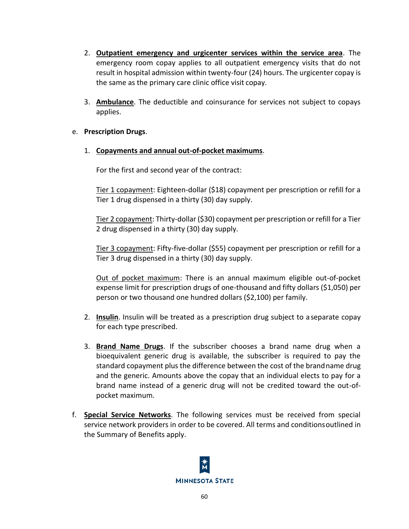- 2. **Outpatient emergency and urgicenter services within the service area**. The emergency room copay applies to all outpatient emergency visits that do not result in hospital admission within twenty-four (24) hours. The urgicenter copay is the same as the primary care clinic office visit copay.
- 3. **Ambulance**. The deductible and coinsurance for services not subject to copays applies.

## e. **Prescription Drugs**.

1. **Copayments and annual out-of-pocket maximums**.

For the first and second year of the contract:

Tier 1 copayment: Eighteen-dollar (\$18) copayment per prescription or refill for a Tier 1 drug dispensed in a thirty (30) day supply.

Tier 2 copayment: Thirty-dollar (\$30) copayment per prescription or refill for a Tier 2 drug dispensed in a thirty (30) day supply.

Tier 3 copayment: Fifty-five-dollar (\$55) copayment per prescription or refill for a Tier 3 drug dispensed in a thirty (30) day supply.

Out of pocket maximum: There is an annual maximum eligible out-of-pocket expense limit for prescription drugs of one-thousand and fifty dollars (\$1,050) per person or two thousand one hundred dollars (\$2,100) per family.

- 2. **Insulin**. Insulin will be treated as a prescription drug subject to a separate copay for each type prescribed.
- 3. **Brand Name Drugs**. If the subscriber chooses a brand name drug when a bioequivalent generic drug is available, the subscriber is required to pay the standard copayment plus the difference between the cost of the brandname drug and the generic. Amounts above the copay that an individual elects to pay for a brand name instead of a generic drug will not be credited toward the out-ofpocket maximum.
- f. **Special Service Networks**. The following services must be received from special service network providers in order to be covered. All terms and conditionsoutlined in the Summary of Benefits apply.

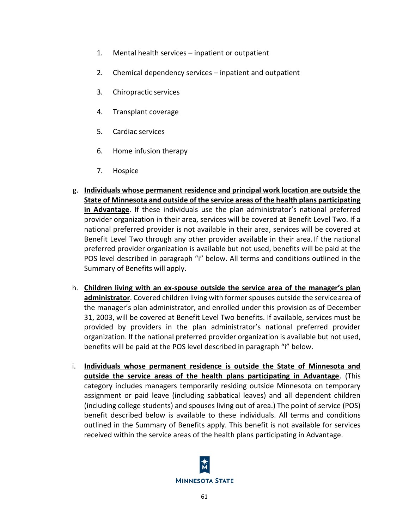- 1. Mental health services inpatient or outpatient
- 2. Chemical dependency services inpatient and outpatient
- 3. Chiropractic services
- 4. Transplant coverage
- 5. Cardiac services
- 6. Home infusion therapy
- 7. Hospice
- g. **Individuals whose permanent residence and principal work location are outside the State of Minnesota and outside of the service areas of the health plans participating in Advantage**. If these individuals use the plan administrator's national preferred provider organization in their area, services will be covered at Benefit Level Two. If a national preferred provider is not available in their area, services will be covered at Benefit Level Two through any other provider available in their area. If the national preferred provider organization is available but not used, benefits will be paid at the POS level described in paragraph "i" below. All terms and conditions outlined in the Summary of Benefits will apply.
- h. **Children living with an ex-spouse outside the service area of the manager's plan administrator**. Covered children living with former spouses outside the servicearea of the manager's plan administrator, and enrolled under this provision as of December 31, 2003, will be covered at Benefit Level Two benefits. If available, services must be provided by providers in the plan administrator's national preferred provider organization. If the national preferred provider organization is available but not used, benefits will be paid at the POS level described in paragraph "i" below.
- i. **Individuals whose permanent residence is outside the State of Minnesota and outside the service areas of the health plans participating in Advantage**. (This category includes managers temporarily residing outside Minnesota on temporary assignment or paid leave (including sabbatical leaves) and all dependent children (including college students) and spouses living out of area.) The point of service (POS) benefit described below is available to these individuals. All terms and conditions outlined in the Summary of Benefits apply. This benefit is not available for services received within the service areas of the health plans participating in Advantage.

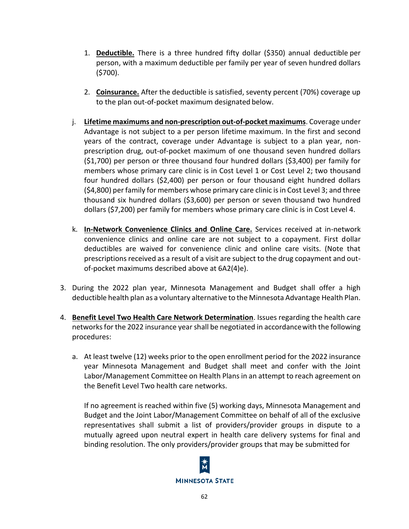- 1. **Deductible.** There is a three hundred fifty dollar (\$350) annual deductible per person, with a maximum deductible per family per year of seven hundred dollars (\$700).
- 2. **Coinsurance.** After the deductible is satisfied, seventy percent (70%) coverage up to the plan out-of-pocket maximum designated below.
- j. **Lifetime maximums and non-prescription out-of-pocket maximums**. Coverage under Advantage is not subject to a per person lifetime maximum. In the first and second years of the contract, coverage under Advantage is subject to a plan year, nonprescription drug, out-of-pocket maximum of one thousand seven hundred dollars (\$1,700) per person or three thousand four hundred dollars (\$3,400) per family for members whose primary care clinic is in Cost Level 1 or Cost Level 2; two thousand four hundred dollars (\$2,400) per person or four thousand eight hundred dollars (\$4,800) per family for members whose primary care clinic is in Cost Level 3; and three thousand six hundred dollars (\$3,600) per person or seven thousand two hundred dollars (\$7,200) per family for members whose primary care clinic is in Cost Level 4.
- k. **In-Network Convenience Clinics and Online Care.** Services received at in-network convenience clinics and online care are not subject to a copayment. First dollar deductibles are waived for convenience clinic and online care visits. (Note that prescriptions received as a result of a visit are subject to the drug copayment and outof-pocket maximums described above at 6A2(4)e).
- 3. During the 2022 plan year, Minnesota Management and Budget shall offer a high deductible health plan as a voluntary alternative to the Minnesota Advantage Health Plan.
- 4. **Benefit Level Two Health Care Network Determination**. Issues regarding the health care networks for the 2022 insurance year shall be negotiated in accordancewith the following procedures:
	- a. At least twelve (12) weeks prior to the open enrollment period for the 2022 insurance year Minnesota Management and Budget shall meet and confer with the Joint Labor/Management Committee on Health Plans in an attempt to reach agreement on the Benefit Level Two health care networks.

If no agreement is reached within five (5) working days, Minnesota Management and Budget and the Joint Labor/Management Committee on behalf of all of the exclusive representatives shall submit a list of providers/provider groups in dispute to a mutually agreed upon neutral expert in health care delivery systems for final and binding resolution. The only providers/provider groups that may be submitted for

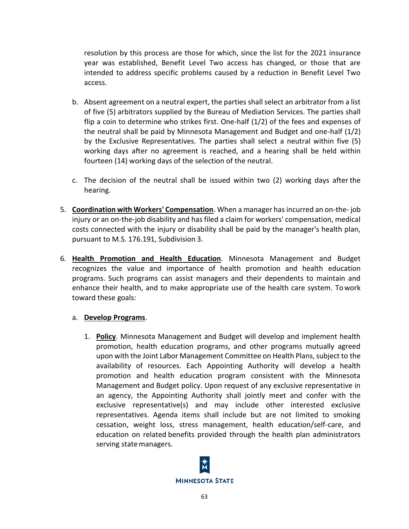resolution by this process are those for which, since the list for the 2021 insurance year was established, Benefit Level Two access has changed, or those that are intended to address specific problems caused by a reduction in Benefit Level Two access.

- b. Absent agreement on a neutral expert, the parties shall select an arbitrator from a list of five (5) arbitrators supplied by the Bureau of Mediation Services. The parties shall flip a coin to determine who strikes first. One-half (1/2) of the fees and expenses of the neutral shall be paid by Minnesota Management and Budget and one-half (1/2) by the Exclusive Representatives. The parties shall select a neutral within five (5) working days after no agreement is reached, and a hearing shall be held within fourteen (14) working days of the selection of the neutral.
- c. The decision of the neutral shall be issued within two (2) working days after the hearing.
- 5. **Coordination with Workers' Compensation**. When a manager has incurred an on-the- job injury or an on-the-job disability and has filed a claim for workers' compensation, medical costs connected with the injury or disability shall be paid by the manager's health plan, pursuant to M.S. 176.191, Subdivision 3.
- 6. **Health Promotion and Health Education**. Minnesota Management and Budget recognizes the value and importance of health promotion and health education programs. Such programs can assist managers and their dependents to maintain and enhance their health, and to make appropriate use of the health care system. Towork toward these goals:

## a. **Develop Programs**.

1. **Policy**. Minnesota Management and Budget will develop and implement health promotion, health education programs, and other programs mutually agreed upon with the Joint Labor Management Committee on Health Plans, subject to the availability of resources. Each Appointing Authority will develop a health promotion and health education program consistent with the Minnesota Management and Budget policy. Upon request of any exclusive representative in an agency, the Appointing Authority shall jointly meet and confer with the exclusive representative(s) and may include other interested exclusive representatives. Agenda items shall include but are not limited to smoking cessation, weight loss, stress management, health education/self-care, and education on related benefits provided through the health plan administrators serving state managers.

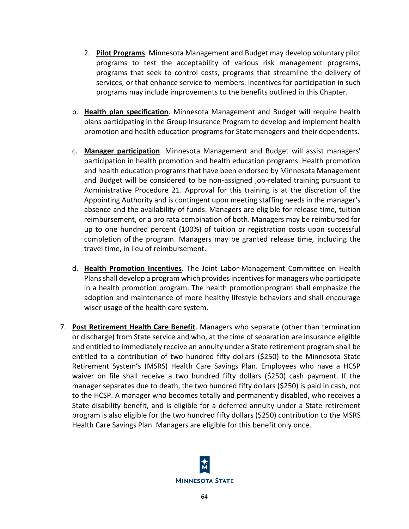- 2. **Pilot Programs**. Minnesota Management and Budget may develop voluntary pilot programs to test the acceptability of various risk management programs, programs that seek to control costs, programs that streamline the delivery of services, or that enhance service to members. Incentives for participation in such programs may include improvements to the benefits outlined in this Chapter.
- b. **Health plan specification**. Minnesota Management and Budget will require health plans participating in the Group Insurance Program to develop and implement health promotion and health education programs for Statemanagers and their dependents.
- c. **Manager participation**. Minnesota Management and Budget will assist managers' participation in health promotion and health education programs. Health promotion and health education programs that have been endorsed by Minnesota Management and Budget will be considered to be non-assigned job-related training pursuant to Administrative Procedure 21. Approval for this training is at the discretion of the Appointing Authority and is contingent upon meeting staffing needs in the manager's absence and the availability of funds. Managers are eligible for release time, tuition reimbursement, or a pro rata combination of both. Managers may be reimbursed for up to one hundred percent (100%) of tuition or registration costs upon successful completion of the program. Managers may be granted release time, including the travel time, in lieu of reimbursement.
- d. **Health Promotion Incentives**. The Joint Labor-Management Committee on Health Plans shall develop a program which provides incentives for managers who participate in a health promotion program. The health promotionprogram shall emphasize the adoption and maintenance of more healthy lifestyle behaviors and shall encourage wiser usage of the health care system.
- 7. **Post Retirement Health Care Benefit**. Managers who separate (other than termination or discharge) from State service and who, at the time of separation are insurance eligible and entitled to immediately receive an annuity under a State retirement program shall be entitled to a contribution of two hundred fifty dollars (\$250) to the Minnesota State Retirement System's (MSRS) Health Care Savings Plan. Employees who have a HCSP waiver on file shall receive a two hundred fifty dollars (\$250) cash payment. If the manager separates due to death, the two hundred fifty dollars (\$250) is paid in cash, not to the HCSP. A manager who becomes totally and permanently disabled, who receives a State disability benefit, and is eligible for a deferred annuity under a State retirement program is also eligible for the two hundred fifty dollars (\$250) contribution to the MSRS Health Care Savings Plan. Managers are eligible for this benefit only once.

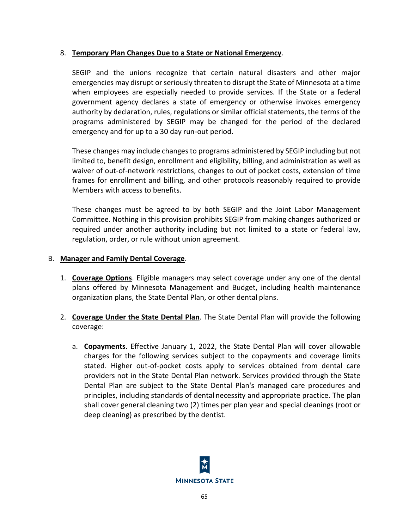## 8. **Temporary Plan Changes Due to a State or National Emergency**.

SEGIP and the unions recognize that certain natural disasters and other major emergencies may disrupt or seriously threaten to disrupt the State of Minnesota at a time when employees are especially needed to provide services. If the State or a federal government agency declares a state of emergency or otherwise invokes emergency authority by declaration, rules, regulations or similar official statements, the terms of the programs administered by SEGIP may be changed for the period of the declared emergency and for up to a 30 day run-out period.

These changes may include changes to programs administered by SEGIP including but not limited to, benefit design, enrollment and eligibility, billing, and administration as well as waiver of out-of-network restrictions, changes to out of pocket costs, extension of time frames for enrollment and billing, and other protocols reasonably required to provide Members with access to benefits.

These changes must be agreed to by both SEGIP and the Joint Labor Management Committee. Nothing in this provision prohibits SEGIP from making changes authorized or required under another authority including but not limited to a state or federal law, regulation, order, or rule without union agreement.

## B. **Manager and Family Dental Coverage**.

- 1. **Coverage Options**. Eligible managers may select coverage under any one of the dental plans offered by Minnesota Management and Budget, including health maintenance organization plans, the State Dental Plan, or other dental plans.
- 2. **Coverage Under the State Dental Plan**. The State Dental Plan will provide the following coverage:
	- a. **Copayments**. Effective January 1, 2022, the State Dental Plan will cover allowable charges for the following services subject to the copayments and coverage limits stated. Higher out-of-pocket costs apply to services obtained from dental care providers not in the State Dental Plan network. Services provided through the State Dental Plan are subject to the State Dental Plan's managed care procedures and principles, including standards of dental necessity and appropriate practice. The plan shall cover general cleaning two (2) times per plan year and special cleanings (root or deep cleaning) as prescribed by the dentist.

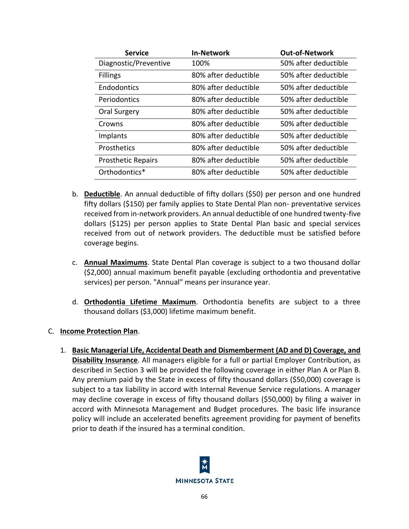| <b>Service</b>            | <b>In-Network</b>    | <b>Out-of-Network</b> |
|---------------------------|----------------------|-----------------------|
| Diagnostic/Preventive     | 100%                 | 50% after deductible  |
| <b>Fillings</b>           | 80% after deductible | 50% after deductible  |
| Endodontics               | 80% after deductible | 50% after deductible  |
| Periodontics              | 80% after deductible | 50% after deductible  |
| Oral Surgery              | 80% after deductible | 50% after deductible  |
| Crowns                    | 80% after deductible | 50% after deductible  |
| Implants                  | 80% after deductible | 50% after deductible  |
| <b>Prosthetics</b>        | 80% after deductible | 50% after deductible  |
| <b>Prosthetic Repairs</b> | 80% after deductible | 50% after deductible  |
| Orthodontics*             | 80% after deductible | 50% after deductible  |

- b. **Deductible**. An annual deductible of fifty dollars (\$50) per person and one hundred fifty dollars (\$150) per family applies to State Dental Plan non- preventative services received from in-network providers. An annual deductible of one hundred twenty-five dollars (\$125) per person applies to State Dental Plan basic and special services received from out of network providers. The deductible must be satisfied before coverage begins.
- c. **Annual Maximums**. State Dental Plan coverage is subject to a two thousand dollar (\$2,000) annual maximum benefit payable (excluding orthodontia and preventative services) per person. "Annual" means per insurance year.
- d. **Orthodontia Lifetime Maximum**. Orthodontia benefits are subject to a three thousand dollars (\$3,000) lifetime maximum benefit.
- C. **Income Protection Plan**.
	- 1. **Basic Managerial Life, Accidental Death and Dismemberment (AD and D) Coverage, and Disability Insurance**. All managers eligible for a full or partial Employer Contribution, as described in Section 3 will be provided the following coverage in either Plan A or Plan B. Any premium paid by the State in excess of fifty thousand dollars (\$50,000) coverage is subject to a tax liability in accord with Internal Revenue Service regulations. A manager may decline coverage in excess of fifty thousand dollars (\$50,000) by filing a waiver in accord with Minnesota Management and Budget procedures. The basic life insurance policy will include an accelerated benefits agreement providing for payment of benefits prior to death if the insured has a terminal condition.

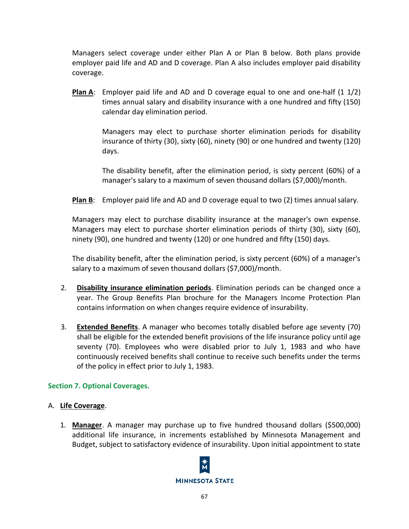Managers select coverage under either Plan A or Plan B below. Both plans provide employer paid life and AD and D coverage. Plan A also includes employer paid disability coverage.

**Plan A**: Employer paid life and AD and D coverage equal to one and one-half (1 1/2) times annual salary and disability insurance with a one hundred and fifty (150) calendar day elimination period.

> Managers may elect to purchase shorter elimination periods for disability insurance of thirty (30), sixty (60), ninety (90) or one hundred and twenty (120) days.

> The disability benefit, after the elimination period, is sixty percent (60%) of a manager's salary to a maximum of seven thousand dollars (\$7,000)/month.

**Plan B**: Employer paid life and AD and D coverage equal to two (2) times annualsalary.

Managers may elect to purchase disability insurance at the manager's own expense. Managers may elect to purchase shorter elimination periods of thirty (30), sixty (60), ninety (90), one hundred and twenty (120) or one hundred and fifty (150) days.

The disability benefit, after the elimination period, is sixty percent (60%) of a manager's salary to a maximum of seven thousand dollars (\$7,000)/month.

- 2. **Disability insurance elimination periods**. Elimination periods can be changed once a year. The Group Benefits Plan brochure for the Managers Income Protection Plan contains information on when changes require evidence of insurability.
- 3. **Extended Benefits**. A manager who becomes totally disabled before age seventy (70) shall be eligible for the extended benefit provisions of the life insurance policy until age seventy (70). Employees who were disabled prior to July 1, 1983 and who have continuously received benefits shall continue to receive such benefits under the terms of the policy in effect prior to July 1, 1983.

## **Section 7. Optional Coverages.**

## A. **Life Coverage**.

1. **Manager**. A manager may purchase up to five hundred thousand dollars (\$500,000) additional life insurance, in increments established by Minnesota Management and Budget, subject to satisfactory evidence of insurability. Upon initial appointment to state

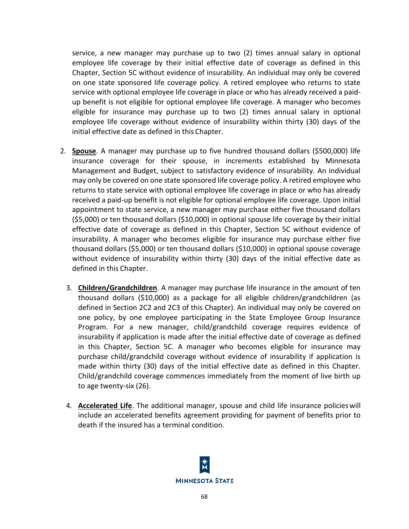service, a new manager may purchase up to two (2) times annual salary in optional employee life coverage by their initial effective date of coverage as defined in this Chapter, Section 5C without evidence of insurability. An individual may only be covered on one state sponsored life coverage policy. A retired employee who returns to state service with optional employee life coverage in place or who has already received a paidup benefit is not eligible for optional employee life coverage. A manager who becomes eligible for insurance may purchase up to two (2) times annual salary in optional employee life coverage without evidence of insurability within thirty (30) days of the initial effective date as defined in this Chapter.

- 2. **Spouse**. A manager may purchase up to five hundred thousand dollars (\$500,000) life insurance coverage for their spouse, in increments established by Minnesota Management and Budget, subject to satisfactory evidence of insurability. An individual may only be covered on one state sponsored life coverage policy. A retired employee who returns to state service with optional employee life coverage in place or who has already received a paid-up benefit is not eligible for optional employee life coverage. Upon initial appointment to state service, a new manager may purchase either five thousand dollars (\$5,000) or ten thousand dollars (\$10,000) in optional spouse life coverage by their initial effective date of coverage as defined in this Chapter, Section 5C without evidence of insurability. A manager who becomes eligible for insurance may purchase either five thousand dollars (\$5,000) or ten thousand dollars (\$10,000) in optional spouse coverage without evidence of insurability within thirty (30) days of the initial effective date as defined in this Chapter.
	- 3. **Children/Grandchildren**. A manager may purchase life insurance in the amount of ten thousand dollars (\$10,000) as a package for all eligible children/grandchildren (as defined in Section 2C2 and 2C3 of this Chapter). An individual may only be covered on one policy, by one employee participating in the State Employee Group Insurance Program. For a new manager, child/grandchild coverage requires evidence of insurability if application is made after the initial effective date of coverage as defined in this Chapter, Section 5C. A manager who becomes eligible for insurance may purchase child/grandchild coverage without evidence of insurability if application is made within thirty (30) days of the initial effective date as defined in this Chapter. Child/grandchild coverage commences immediately from the moment of live birth up to age twenty-six (26).
	- 4. **Accelerated Life**. The additional manager, spouse and child life insurance policieswill include an accelerated benefits agreement providing for payment of benefits prior to death if the insured has a terminal condition.

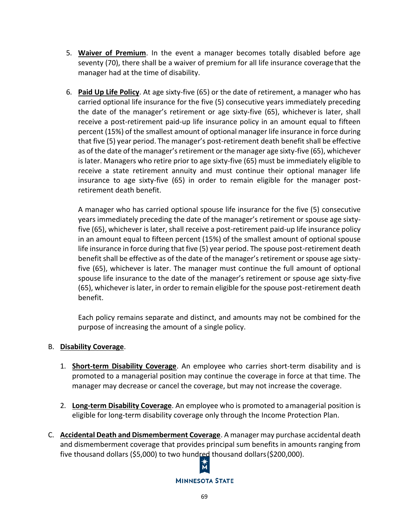- 5. **Waiver of Premium**. In the event a manager becomes totally disabled before age seventy (70), there shall be a waiver of premium for all life insurance coveragethat the manager had at the time of disability.
- 6. **Paid Up Life Policy**. At age sixty-five (65) or the date of retirement, a manager who has carried optional life insurance for the five (5) consecutive years immediately preceding the date of the manager's retirement or age sixty-five (65), whichever is later, shall receive a post-retirement paid-up life insurance policy in an amount equal to fifteen percent (15%) of the smallest amount of optional manager life insurance in force during that five (5) year period. The manager's post-retirement death benefit shall be effective as of the date of the manager's retirement or the manager age sixty-five (65), whichever is later. Managers who retire prior to age sixty-five (65) must be immediately eligible to receive a state retirement annuity and must continue their optional manager life insurance to age sixty-five (65) in order to remain eligible for the manager postretirement death benefit.

A manager who has carried optional spouse life insurance for the five (5) consecutive years immediately preceding the date of the manager's retirement or spouse age sixtyfive (65), whichever is later, shall receive a post-retirement paid-up life insurance policy in an amount equal to fifteen percent (15%) of the smallest amount of optional spouse life insurance in force during that five (5) year period. The spouse post-retirement death benefit shall be effective as of the date of the manager's retirement or spouse age sixtyfive (65), whichever is later. The manager must continue the full amount of optional spouse life insurance to the date of the manager's retirement or spouse age sixty-five (65), whichever is later, in order to remain eligible for the spouse post-retirement death benefit.

Each policy remains separate and distinct, and amounts may not be combined for the purpose of increasing the amount of a single policy.

## B. **Disability Coverage**.

- 1. **Short-term Disability Coverage**. An employee who carries short-term disability and is promoted to a managerial position may continue the coverage in force at that time. The manager may decrease or cancel the coverage, but may not increase the coverage.
- 2. **Long-term Disability Coverage**. An employee who is promoted to amanagerial position is eligible for long-term disability coverage only through the Income Protection Plan.
- C. **Accidental Death and Dismemberment Coverage**. A manager may purchase accidental death and dismemberment coverage that provides principal sum benefits in amounts ranging from five thousand dollars (\$5,000) to two hundred thousand dollars (\$200,000).<br>  $\uparrow$

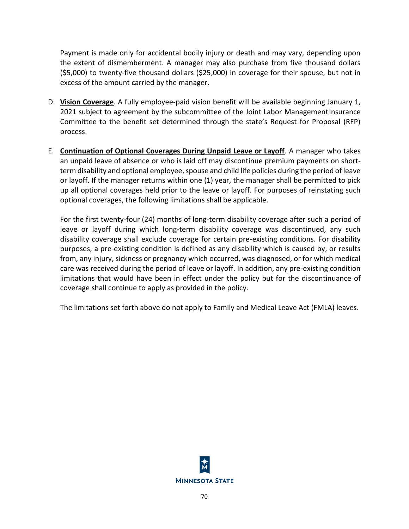Payment is made only for accidental bodily injury or death and may vary, depending upon the extent of dismemberment. A manager may also purchase from five thousand dollars (\$5,000) to twenty-five thousand dollars (\$25,000) in coverage for their spouse, but not in excess of the amount carried by the manager.

- D. **Vision Coverage**. A fully employee-paid vision benefit will be available beginning January 1, 2021 subject to agreement by the subcommittee of the Joint Labor ManagementInsurance Committee to the benefit set determined through the state's Request for Proposal (RFP) process.
- E. **Continuation of Optional Coverages During Unpaid Leave or Layoff**. A manager who takes an unpaid leave of absence or who is laid off may discontinue premium payments on shortterm disability and optional employee, spouse and child life policies during the period of leave or layoff. If the manager returns within one (1) year, the manager shall be permitted to pick up all optional coverages held prior to the leave or layoff. For purposes of reinstating such optional coverages, the following limitations shall be applicable.

For the first twenty-four (24) months of long-term disability coverage after such a period of leave or layoff during which long-term disability coverage was discontinued, any such disability coverage shall exclude coverage for certain pre-existing conditions. For disability purposes, a pre-existing condition is defined as any disability which is caused by, or results from, any injury, sickness or pregnancy which occurred, was diagnosed, or for which medical care was received during the period of leave or layoff. In addition, any pre-existing condition limitations that would have been in effect under the policy but for the discontinuance of coverage shall continue to apply as provided in the policy.

The limitations set forth above do not apply to Family and Medical Leave Act (FMLA) leaves.

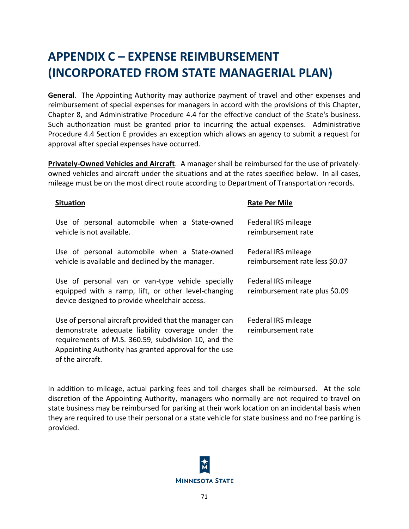## **APPENDIX C – EXPENSE REIMBURSEMENT (INCORPORATED FROM STATE MANAGERIAL PLAN)**

**General**. The Appointing Authority may authorize payment of travel and other expenses and reimbursement of special expenses for managers in accord with the provisions of this Chapter, Chapter 8, and Administrative Procedure 4.4 for the effective conduct of the State's business. Such authorization must be granted prior to incurring the actual expenses. Administrative Procedure 4.4 Section E provides an exception which allows an agency to submit a request for approval after special expenses have occurred.

**Privately-Owned Vehicles and Aircraft**. A manager shall be reimbursed for the use of privatelyowned vehicles and aircraft under the situations and at the rates specified below. In all cases, mileage must be on the most direct route according to Department of Transportation records.

| <b>Situation</b>                                                                                                                                                                                                                                 | <b>Rate Per Mile</b>                                  |
|--------------------------------------------------------------------------------------------------------------------------------------------------------------------------------------------------------------------------------------------------|-------------------------------------------------------|
| Use of personal automobile when a State-owned<br>vehicle is not available.                                                                                                                                                                       | Federal IRS mileage<br>reimbursement rate             |
| Use of personal automobile when a State-owned<br>vehicle is available and declined by the manager.                                                                                                                                               | Federal IRS mileage<br>reimbursement rate less \$0.07 |
| Use of personal van or van-type vehicle specially<br>equipped with a ramp, lift, or other level-changing<br>device designed to provide wheelchair access.                                                                                        | Federal IRS mileage<br>reimbursement rate plus \$0.09 |
| Use of personal aircraft provided that the manager can<br>demonstrate adequate liability coverage under the<br>requirements of M.S. 360.59, subdivision 10, and the<br>Appointing Authority has granted approval for the use<br>of the aircraft. | Federal IRS mileage<br>reimbursement rate             |

In addition to mileage, actual parking fees and toll charges shall be reimbursed. At the sole discretion of the Appointing Authority, managers who normally are not required to travel on state business may be reimbursed for parking at their work location on an incidental basis when they are required to use their personal or a state vehicle for state business and no free parking is provided.

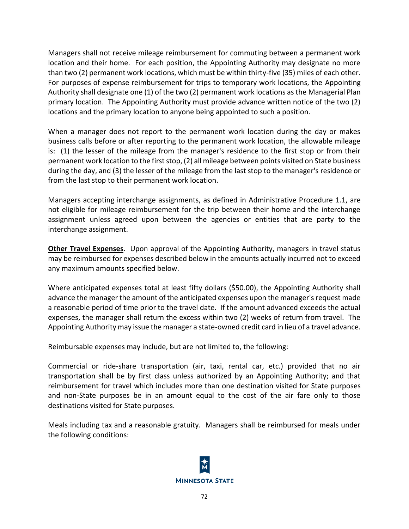Managers shall not receive mileage reimbursement for commuting between a permanent work location and their home. For each position, the Appointing Authority may designate no more than two (2) permanent work locations, which must be within thirty-five (35) miles of each other. For purposes of expense reimbursement for trips to temporary work locations, the Appointing Authority shall designate one (1) of the two (2) permanent work locations as the Managerial Plan primary location. The Appointing Authority must provide advance written notice of the two (2) locations and the primary location to anyone being appointed to such a position.

When a manager does not report to the permanent work location during the day or makes business calls before or after reporting to the permanent work location, the allowable mileage is: (1) the lesser of the mileage from the manager's residence to the first stop or from their permanent work location to the first stop, (2) all mileage between points visited on State business during the day, and (3) the lesser of the mileage from the last stop to the manager's residence or from the last stop to their permanent work location.

Managers accepting interchange assignments, as defined in Administrative Procedure 1.1, are not eligible for mileage reimbursement for the trip between their home and the interchange assignment unless agreed upon between the agencies or entities that are party to the interchange assignment.

**Other Travel Expenses**. Upon approval of the Appointing Authority, managers in travel status may be reimbursed for expenses described below in the amounts actually incurred not to exceed any maximum amounts specified below.

Where anticipated expenses total at least fifty dollars (\$50.00), the Appointing Authority shall advance the manager the amount of the anticipated expenses upon the manager's request made a reasonable period of time prior to the travel date. If the amount advanced exceeds the actual expenses, the manager shall return the excess within two (2) weeks of return from travel. The Appointing Authority may issue the manager a state-owned credit card in lieu of a travel advance.

Reimbursable expenses may include, but are not limited to, the following:

Commercial or ride-share transportation (air, taxi, rental car, etc.) provided that no air transportation shall be by first class unless authorized by an Appointing Authority; and that reimbursement for travel which includes more than one destination visited for State purposes and non-State purposes be in an amount equal to the cost of the air fare only to those destinations visited for State purposes.

Meals including tax and a reasonable gratuity. Managers shall be reimbursed for meals under the following conditions:

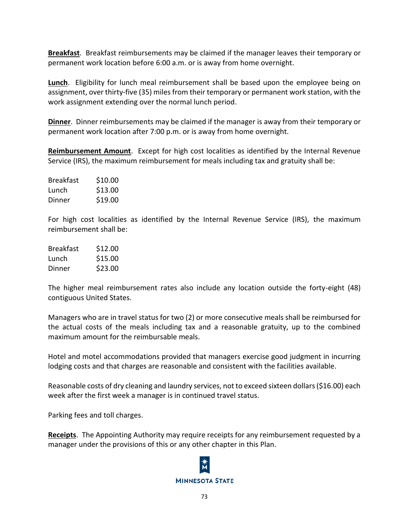**Breakfast**. Breakfast reimbursements may be claimed if the manager leaves their temporary or permanent work location before 6:00 a.m. or is away from home overnight.

**Lunch**. Eligibility for lunch meal reimbursement shall be based upon the employee being on assignment, over thirty-five (35) miles from their temporary or permanent work station, with the work assignment extending over the normal lunch period.

**Dinner**. Dinner reimbursements may be claimed if the manager is away from their temporary or permanent work location after 7:00 p.m. or is away from home overnight.

**Reimbursement Amount**. Except for high cost localities as identified by the Internal Revenue Service (IRS), the maximum reimbursement for meals including tax and gratuity shall be:

| <b>Breakfast</b> | \$10.00 |
|------------------|---------|
| Lunch            | \$13.00 |
| Dinner           | \$19.00 |

For high cost localities as identified by the Internal Revenue Service (IRS), the maximum reimbursement shall be:

| Breakfast | \$12.00 |
|-----------|---------|
| Lunch     | \$15.00 |
| Dinner    | \$23.00 |

The higher meal reimbursement rates also include any location outside the forty-eight (48) contiguous United States.

Managers who are in travel status for two (2) or more consecutive meals shall be reimbursed for the actual costs of the meals including tax and a reasonable gratuity, up to the combined maximum amount for the reimbursable meals.

Hotel and motel accommodations provided that managers exercise good judgment in incurring lodging costs and that charges are reasonable and consistent with the facilities available.

Reasonable costs of dry cleaning and laundry services, not to exceed sixteen dollars (\$16.00) each week after the first week a manager is in continued travel status.

Parking fees and toll charges.

**Receipts**. The Appointing Authority may require receipts for any reimbursement requested by a manager under the provisions of this or any other chapter in this Plan.